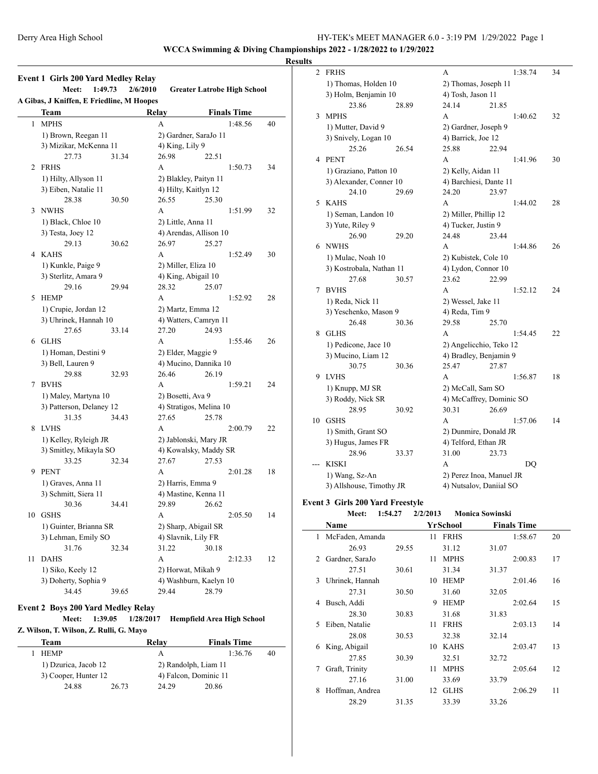**WCCA Swimming & Diving Championships 2022 - 1/28/2022 to 1/29/2022**

#### **Results**

|              | <b>Event 1 Girls 200 Yard Medley Relay</b><br>Meet:<br>1:49.73<br>2/6/2010<br><b>Greater Latrobe High School</b> |           |                    |                                   |    |  |  |  |
|--------------|------------------------------------------------------------------------------------------------------------------|-----------|--------------------|-----------------------------------|----|--|--|--|
|              | A Gibas, J Kniffen, E Friedline, M Hoopes                                                                        |           |                    |                                   |    |  |  |  |
|              | Team                                                                                                             |           | Relay              | <b>Finals Time</b>                |    |  |  |  |
| $\mathbf{1}$ | <b>MPHS</b>                                                                                                      |           | A                  | 1:48.56                           | 40 |  |  |  |
|              | 1) Brown, Reegan 11                                                                                              |           |                    | 2) Gardner, SaraJo 11             |    |  |  |  |
|              | 3) Mizikar, McKenna 11                                                                                           |           | 4) King, Lily 9    |                                   |    |  |  |  |
|              | 27.73                                                                                                            | 31.34     | 26.98              | 22.51                             |    |  |  |  |
|              | 2 FRHS                                                                                                           |           | A                  | 1:50.73                           | 34 |  |  |  |
|              | 1) Hilty, Allyson 11                                                                                             |           |                    | 2) Blakley, Paityn 11             |    |  |  |  |
|              | 3) Eiben, Natalie 11                                                                                             |           |                    | 4) Hilty, Kaitlyn 12              |    |  |  |  |
|              | 28.38                                                                                                            | 30.50     | 26.55              | 25.30                             |    |  |  |  |
| 3            | NWHS                                                                                                             |           | A                  | 1:51.99                           | 32 |  |  |  |
|              | 1) Black, Chloe 10                                                                                               |           | 2) Little, Anna 11 |                                   |    |  |  |  |
|              | 3) Testa, Joey 12                                                                                                |           |                    | 4) Arendas, Allison 10            |    |  |  |  |
|              | 29.13                                                                                                            | 30.62     | 26.97              | 25.27                             |    |  |  |  |
| 4            | <b>KAHS</b>                                                                                                      |           | A                  | 1:52.49                           | 30 |  |  |  |
|              | 1) Kunkle, Paige 9                                                                                               |           |                    | 2) Miller, Eliza 10               |    |  |  |  |
|              | 3) Sterlitz, Amara 9                                                                                             |           |                    | 4) King, Abigail 10               |    |  |  |  |
|              | 29.16                                                                                                            | 29.94     | 28.32              | 25.07                             |    |  |  |  |
| 5            | <b>HEMP</b>                                                                                                      |           | A                  | 1:52.92                           | 28 |  |  |  |
|              | 1) Crupie, Jordan 12                                                                                             |           |                    | 2) Martz, Emma 12                 |    |  |  |  |
|              | 3) Uhrinek, Hannah 10                                                                                            |           |                    | 4) Watters, Camryn 11             |    |  |  |  |
|              | 27.65                                                                                                            | 33.14     | 27.20              | 24.93                             |    |  |  |  |
| 6            | <b>GLHS</b>                                                                                                      |           | A                  | 1:55.46                           | 26 |  |  |  |
|              | 1) Homan, Destini 9                                                                                              |           |                    | 2) Elder, Maggie 9                |    |  |  |  |
|              | 3) Bell, Lauren 9                                                                                                |           |                    | 4) Mucino, Dannika 10             |    |  |  |  |
|              | 29.88                                                                                                            | 32.93     | 26.46              | 26.19                             |    |  |  |  |
| 7            | <b>BVHS</b>                                                                                                      |           | A                  | 1:59.21                           | 24 |  |  |  |
|              | 1) Maley, Martyna 10                                                                                             |           | 2) Bosetti, Ava 9  |                                   |    |  |  |  |
|              | 3) Patterson, Delaney 12                                                                                         |           |                    | 4) Stratigos, Melina 10           |    |  |  |  |
|              | 31.35                                                                                                            | 34.43     | 27.65              | 25.78                             |    |  |  |  |
| 8            | <b>LVHS</b>                                                                                                      |           | A                  | 2:00.79                           | 22 |  |  |  |
|              | 1) Kelley, Ryleigh JR                                                                                            |           |                    | 2) Jablonski, Mary JR             |    |  |  |  |
|              | 3) Smitley, Mikayla SO                                                                                           |           |                    | 4) Kowalsky, Maddy SR             |    |  |  |  |
|              | 33.25                                                                                                            | 32.34     | 27.67              | 27.53                             |    |  |  |  |
| 9            | <b>PENT</b>                                                                                                      |           | A                  | 2:01.28                           | 18 |  |  |  |
|              | 1) Graves, Anna 11                                                                                               |           |                    | 2) Harris, Emma 9                 |    |  |  |  |
|              | 3) Schmitt, Siera 11                                                                                             |           |                    | 4) Mastine, Kenna 11              |    |  |  |  |
|              | 30.36                                                                                                            | 34.41     |                    | 29.89 26.62                       |    |  |  |  |
|              | 10 GSHS                                                                                                          |           | A                  | 2:05.50                           | 14 |  |  |  |
|              | 1) Guinter, Brianna SR                                                                                           |           |                    | 2) Sharp, Abigail SR              |    |  |  |  |
|              | 3) Lehman, Emily SO                                                                                              |           |                    | 4) Slavnik, Lily FR               |    |  |  |  |
|              | 31.76                                                                                                            | 32.34     | 31.22              | 30.18                             |    |  |  |  |
| 11           | <b>DAHS</b>                                                                                                      |           | A                  | 2:12.33                           | 12 |  |  |  |
|              | 1) Siko, Keely 12                                                                                                |           |                    | 2) Horwat, Mikah 9                |    |  |  |  |
|              | 3) Doherty, Sophia 9                                                                                             |           |                    | 4) Washburn, Kaelyn 10            |    |  |  |  |
|              | 34.45                                                                                                            | 39.65     | 29.44              | 28.79                             |    |  |  |  |
|              |                                                                                                                  |           |                    |                                   |    |  |  |  |
|              | <b>Event 2 Boys 200 Yard Medley Relay</b>                                                                        |           |                    |                                   |    |  |  |  |
|              | Meet:<br>1:39.05                                                                                                 | 1/28/2017 |                    | <b>Hempfield Area High School</b> |    |  |  |  |
|              | Z. Wilson, T. Wilson, Z. Rulli, G. Mayo                                                                          |           |                    |                                   |    |  |  |  |
|              | <b>Team</b>                                                                                                      |           | Relay              | <b>Finals Time</b>                |    |  |  |  |
| 1            | <b>HEMP</b>                                                                                                      |           | А                  | 1:36.76                           | 40 |  |  |  |
|              | 1) Dzurica, Jacob 12                                                                                             |           |                    | 2) Randolph, Liam 11              |    |  |  |  |
|              | 3) Cooper, Hunter 12                                                                                             |           |                    | 4) Falcon, Dominic 11             |    |  |  |  |

24.88 26.73 24.29 20.86

| 2   | <b>FRHS</b>                                     |                                                                     | А                                      |       | 1:38.74 | 34 |  |
|-----|-------------------------------------------------|---------------------------------------------------------------------|----------------------------------------|-------|---------|----|--|
|     | 1) Thomas, Holden 10                            |                                                                     | 2) Thomas, Joseph 11                   |       |         |    |  |
|     | 3) Holm, Benjamin 10                            |                                                                     | 4) Tosh, Jason 11                      |       |         |    |  |
|     | 23.86                                           | 28.89                                                               | 24.14                                  | 21.85 |         |    |  |
| 3   | <b>MPHS</b>                                     |                                                                     | A                                      |       | 1:40.62 | 32 |  |
|     | 1) Mutter, David 9                              |                                                                     | 2) Gardner, Joseph 9                   |       |         |    |  |
|     | 3) Snively, Logan 10                            |                                                                     | 4) Barrick, Joe 12                     |       |         |    |  |
|     | 25.26                                           | 26.54                                                               | 25.88                                  | 22.94 |         |    |  |
| 4   | <b>PENT</b>                                     |                                                                     | A                                      |       | 1:41.96 | 30 |  |
|     | 1) Graziano, Patton 10                          |                                                                     | 2) Kelly, Aidan 11                     |       |         |    |  |
|     | 3) Alexander, Conner 10                         |                                                                     | 4) Barchiesi, Dante 11                 |       |         |    |  |
|     | 24.10                                           | 29.69                                                               | 24.20                                  | 23.97 |         |    |  |
| 5   | <b>KAHS</b>                                     |                                                                     | А                                      |       | 1:44.02 | 28 |  |
|     | 1) Seman, Landon 10                             |                                                                     | 2) Miller, Phillip 12                  |       |         |    |  |
|     | 3) Yute, Riley 9                                |                                                                     | 4) Tucker, Justin 9                    |       |         |    |  |
|     | 26.90                                           | 29.20                                                               | 24.48                                  | 23.44 |         |    |  |
| 6   | <b>NWHS</b>                                     |                                                                     | A                                      |       | 1:44.86 | 26 |  |
|     | 1) Mulac, Noah 10                               |                                                                     | 2) Kubistek, Cole 10                   |       |         |    |  |
|     | 3) Kostrobala, Nathan 11                        |                                                                     | 4) Lydon, Connor 10                    |       |         |    |  |
|     | 27.68                                           | 30.57                                                               | 23.62                                  | 22.99 |         |    |  |
| 7   | <b>BVHS</b>                                     |                                                                     | A                                      |       | 1:52.12 | 24 |  |
|     | 1) Reda, Nick 11                                |                                                                     | 2) Wessel, Jake 11                     |       |         |    |  |
|     | 3) Yeschenko, Mason 9                           |                                                                     | 4) Reda, Tim 9                         |       |         |    |  |
|     | 26.48                                           | 30.36                                                               | 29.58                                  | 25.70 |         |    |  |
| 8   | <b>GLHS</b>                                     |                                                                     | A                                      |       | 1:54.45 | 22 |  |
|     | 1) Pedicone, Jace 10                            |                                                                     | 2) Angelicchio, Teko 12                |       |         |    |  |
|     | 3) Mucino, Liam 12                              |                                                                     | 4) Bradley, Benjamin 9                 |       |         |    |  |
|     | 30.75                                           | 30.36                                                               | 25.47                                  | 27.87 |         |    |  |
| 9   | <b>LVHS</b>                                     |                                                                     | A                                      |       | 1:56.87 | 18 |  |
|     | 1) Knupp, MJ SR                                 |                                                                     | 2) McCall, Sam SO                      |       |         |    |  |
|     | 3) Roddy, Nick SR                               |                                                                     | 4) McCaffrey, Dominic SO               |       |         |    |  |
|     | 28.95                                           | 30.92                                                               | 30.31                                  | 26.69 |         |    |  |
| 10  | <b>GSHS</b>                                     |                                                                     | A                                      |       | 1:57.06 | 14 |  |
|     | 1) Smith, Grant SO                              |                                                                     | 2) Dunmire, Donald JR                  |       |         |    |  |
|     | 3) Hugus, James FR                              |                                                                     | 4) Telford, Ethan JR                   |       |         |    |  |
|     | 28.96                                           | 33.37                                                               | 31.00                                  | 23.73 |         |    |  |
| --- | <b>KISKI</b>                                    |                                                                     | A                                      |       | DO      |    |  |
|     | 1) Wang, Sz-An                                  |                                                                     | 2) Perez Inoa, Manuel JR               |       |         |    |  |
|     | 3) Allshouse, Timothy JR                        |                                                                     | 4) Nutsalov, Daniial SO                |       |         |    |  |
|     | ent 3 Girls 200 Yard Freestyle<br>$-1$ $-1$ $-$ | $\mathbf{A} \mathbf{A} \mathbf{A} \mathbf{A} \mathbf{A} \mathbf{A}$ | $\mathbf{r}$ $\mathbf{r}$ $\mathbf{r}$ |       |         |    |  |

#### **Even**

| <b>Meet:</b> | 1:54.27 | 2/2/2013 | <b>Monica Sowinski</b> |
|--------------|---------|----------|------------------------|
|              |         |          |                        |

|   | Name            |       |    | YrSchool    |       | <b>Finals Time</b> |    |
|---|-----------------|-------|----|-------------|-------|--------------------|----|
| 1 | McFaden, Amanda |       | 11 | <b>FRHS</b> |       | 1:58.67            | 20 |
|   | 26.93           | 29.55 |    | 31.12       | 31.07 |                    |    |
| 2 | Gardner, SaraJo |       | 11 | <b>MPHS</b> |       | 2:00.83            | 17 |
|   | 27.51           | 30.61 |    | 31.34       | 31.37 |                    |    |
| 3 | Uhrinek, Hannah |       | 10 | <b>HEMP</b> |       | 2:01.46            | 16 |
|   | 27.31           | 30.50 |    | 31.60       | 32.05 |                    |    |
| 4 | Busch, Addi     |       | 9  | <b>HEMP</b> |       | 2:02.64            | 15 |
|   | 28.30           | 30.83 |    | 31.68       | 31.83 |                    |    |
| 5 | Eiben, Natalie  |       | 11 | <b>FRHS</b> |       | 2:03.13            | 14 |
|   | 28.08           | 30.53 |    | 32.38       | 32.14 |                    |    |
| 6 | King, Abigail   |       | 10 | <b>KAHS</b> |       | 2:03.47            | 13 |
|   | 27.85           | 30.39 |    | 32.51       | 32.72 |                    |    |
| 7 | Graft, Trinity  |       | 11 | <b>MPHS</b> |       | 2:05.64            | 12 |
|   | 27.16           | 31.00 |    | 33.69       | 33.79 |                    |    |
| 8 | Hoffman, Andrea |       | 12 | <b>GLHS</b> |       | 2:06.29            | 11 |
|   | 28.29           | 31.35 |    | 33.39       | 33.26 |                    |    |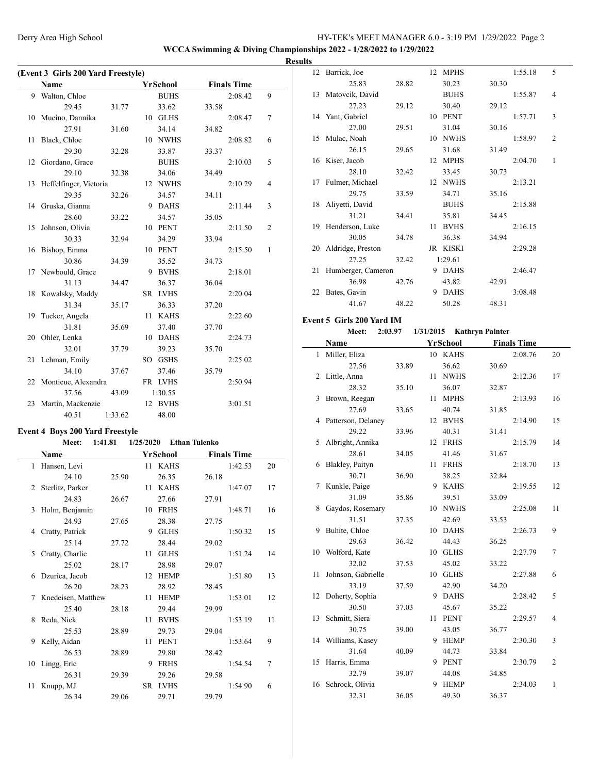**WCCA Swimming & Diving Championships 2022 - 1/28/2022 to 1/29/2022 Results**

|    | (Event 3 Girls 200 Yard Freestyle) |         |  |             |       |                    |                |  |  |  |
|----|------------------------------------|---------|--|-------------|-------|--------------------|----------------|--|--|--|
|    | Name                               |         |  | YrSchool    |       | <b>Finals Time</b> |                |  |  |  |
| 9  | Walton, Chloe                      |         |  | <b>BUHS</b> |       | 2:08.42            | 9              |  |  |  |
|    | 29.45                              | 31.77   |  | 33.62       | 33.58 |                    |                |  |  |  |
| 10 | Mucino, Dannika                    |         |  | 10 GLHS     |       | 2:08.47            | 7              |  |  |  |
|    | 27.91                              | 31.60   |  | 34.14       | 34.82 |                    |                |  |  |  |
| 11 | Black, Chloe                       |         |  | 10 NWHS     |       | 2:08.82            | 6              |  |  |  |
|    | 29.30                              | 32.28   |  | 33.87       | 33.37 |                    |                |  |  |  |
|    | 12 Giordano, Grace                 |         |  | <b>BUHS</b> |       | 2:10.03            | 5              |  |  |  |
|    | 29.10                              | 32.38   |  | 34.06       | 34.49 |                    |                |  |  |  |
|    | 13 Heffelfinger, Victoria          |         |  | 12 NWHS     |       | 2:10.29            | $\overline{4}$ |  |  |  |
|    | 29.35                              | 32.26   |  | 34.57       | 34.11 |                    |                |  |  |  |
|    | 14 Gruska, Gianna                  |         |  | 9 DAHS      |       | 2:11.44            | 3              |  |  |  |
|    | 28.60                              | 33.22   |  | 34.57       | 35.05 |                    |                |  |  |  |
|    | 15 Johnson, Olivia                 |         |  | 10 PENT     |       | 2:11.50            | $\overline{2}$ |  |  |  |
|    | 30.33                              | 32.94   |  | 34.29       | 33.94 |                    |                |  |  |  |
| 16 | Bishop, Emma                       |         |  | 10 PENT     |       | 2:15.50            | 1              |  |  |  |
|    | 30.86                              | 34.39   |  | 35.52       | 34.73 |                    |                |  |  |  |
|    | 17 Newbould, Grace                 |         |  | 9 BVHS      |       | 2:18.01            |                |  |  |  |
|    | 31.13                              | 34.47   |  | 36.37       | 36.04 |                    |                |  |  |  |
|    | 18 Kowalsky, Maddy                 |         |  | SR LVHS     |       | 2:20.04            |                |  |  |  |
|    | 31.34                              | 35.17   |  | 36.33       | 37.20 |                    |                |  |  |  |
| 19 | Tucker, Angela                     |         |  | 11 KAHS     |       | 2:22.60            |                |  |  |  |
|    | 31.81                              | 35.69   |  | 37.40       | 37.70 |                    |                |  |  |  |
| 20 | Ohler, Lenka                       |         |  | 10 DAHS     |       | 2:24.73            |                |  |  |  |
|    | 32.01                              | 37.79   |  | 39.23       | 35.70 |                    |                |  |  |  |
|    | 21 Lehman, Emily                   |         |  | SO GSHS     |       | 2:25.02            |                |  |  |  |
|    | 34.10                              | 37.67   |  | 37.46       | 35.79 |                    |                |  |  |  |
|    | 22 Monticue, Alexandra             |         |  | FR LVHS     |       | 2:50.94            |                |  |  |  |
|    | 37.56                              | 43.09   |  | 1:30.55     |       |                    |                |  |  |  |
| 23 | Martin, Mackenzie                  |         |  | 12 BVHS     |       | 3:01.51            |                |  |  |  |
|    | 40.51                              | 1:33.62 |  | 48.00       |       |                    |                |  |  |  |

#### **Event 4 Boys 200 Yard Freestyle**

#### **Meet: 1:41.81 1/25/2020 Ethan Tulenko**

|               | Name               |       |              | YrSchool    |       | <b>Finals Time</b> |    |
|---------------|--------------------|-------|--------------|-------------|-------|--------------------|----|
|               | 1 Hansen, Levi     |       | 11           | <b>KAHS</b> |       | 1:42.53            | 20 |
|               | 24.10              | 25.90 |              | 26.35       | 26.18 |                    |    |
| 2             | Sterlitz, Parker   |       | 11           | <b>KAHS</b> |       | 1:47.07            | 17 |
|               | 24.83              | 26.67 |              | 27.66       | 27.91 |                    |    |
| $\mathcal{F}$ | Holm, Benjamin     |       | 10           | <b>FRHS</b> |       | 1:48.71            | 16 |
|               | 24.93              | 27.65 |              | 28.38       | 27.75 |                    |    |
| 4             | Cratty, Patrick    |       | 9            | <b>GLHS</b> |       | 1:50.32            | 15 |
|               | 25.14              | 27.72 |              | 28.44       | 29.02 |                    |    |
| 5             | Cratty, Charlie    |       | 11           | <b>GLHS</b> |       | 1:51.24            | 14 |
|               | 25.02              | 28.17 |              | 28.98       | 29.07 |                    |    |
| 6             | Dzurica, Jacob     |       | $12^{\circ}$ | <b>HEMP</b> |       | 1:51.80            | 13 |
|               | 26.20              | 28.23 |              | 28.92       | 28.45 |                    |    |
| 7             | Knedeisen, Matthew |       | 11           | <b>HEMP</b> |       | 1:53.01            | 12 |
|               | 25.40              | 28.18 |              | 29.44       | 29.99 |                    |    |
| 8             | Reda, Nick         |       | 11           | <b>BVHS</b> |       | 1:53.19            | 11 |
|               | 25.53              | 28.89 |              | 29.73       | 29.04 |                    |    |
| 9             | Kelly, Aidan       |       | 11           | <b>PENT</b> |       | 1:53.64            | 9  |
|               | 26.53              | 28.89 |              | 29.80       | 28.42 |                    |    |
| 10            | Lingg, Eric        |       | 9            | <b>FRHS</b> |       | 1:54.54            | 7  |
|               | 26.31              | 29.39 |              | 29.26       | 29.58 |                    |    |
| 11            | Knupp, MJ          |       | SR.          | <b>LVHS</b> |       | 1:54.90            | 6  |
|               | 26.34              | 29.06 |              | 29.71       | 29.79 |                    |    |

|    | 12 Barrick, Joe    |       |    | 12 MPHS     |       | 1:55.18 | 5              |
|----|--------------------|-------|----|-------------|-------|---------|----------------|
|    | 25.83              | 28.82 |    | 30.23       | 30.30 |         |                |
|    | 13 Matovcik, David |       |    | <b>BUHS</b> |       | 1:55.87 | $\overline{4}$ |
|    | 27.23              | 29.12 |    | 30.40       | 29.12 |         |                |
|    | 14 Yant, Gabriel   |       | 10 | <b>PENT</b> |       | 1:57.71 | 3              |
|    | 27.00              | 29.51 |    | 31.04       | 30.16 |         |                |
|    | 15 Mulac, Noah     |       | 10 | <b>NWHS</b> |       | 1:58.97 | $\overline{2}$ |
|    | 26.15              | 29.65 |    | 31.68       | 31.49 |         |                |
| 16 | Kiser, Jacob       |       | 12 | <b>MPHS</b> |       | 2:04.70 | 1              |
|    | 28.10              | 32.42 |    | 33.45       | 30.73 |         |                |
|    | 17 Fulmer, Michael |       |    | 12 NWHS     |       | 2:13.21 |                |
|    | 29.75              | 33.59 |    | 34.71       | 35.16 |         |                |
| 18 | Aliyetti, David    |       |    | <b>BUHS</b> |       | 2:15.88 |                |
|    | 31.21              | 34.41 |    | 35.81       | 34.45 |         |                |
|    | 19 Henderson, Luke |       | 11 | <b>BVHS</b> |       | 2:16.15 |                |
|    | 30.05              | 34.78 |    | 36.38       | 34.94 |         |                |
| 20 | Aldridge, Preston  |       |    | JR KISKI    |       | 2:29.28 |                |
|    | 27.25              | 32.42 |    | 1:29.61     |       |         |                |
| 21 | Humberger, Cameron |       |    | 9 DAHS      |       | 2:46.47 |                |
|    | 36.98              | 42.76 |    | 43.82       | 42.91 |         |                |
| 22 | Bates, Gavin       |       | 9  | <b>DAHS</b> |       | 3:08.48 |                |
|    | 41.67              | 48.22 |    | 50.28       | 48.31 |         |                |

#### **Event 5 Girls 200 Yard IM**

 $\sim$ 

|              | Meet:              | 2:03.97 |    |                 | 1/31/2015 Kathryn Painter |                |
|--------------|--------------------|---------|----|-----------------|---------------------------|----------------|
|              | Name               |         |    | <b>YrSchool</b> | <b>Finals Time</b>        |                |
| $\mathbf{1}$ | Miller, Eliza      |         |    | 10 KAHS         | 2:08.76                   | 20             |
|              | 27.56              | 33.89   |    | 36.62           | 30.69                     |                |
| 2            | Little, Anna       |         | 11 | <b>NWHS</b>     | 2:12.36                   | 17             |
|              | 28.32              | 35.10   |    | 36.07           | 32.87                     |                |
| 3            | Brown, Reegan      |         | 11 | <b>MPHS</b>     | 2:13.93                   | 16             |
|              | 27.69              | 33.65   |    | 40.74           | 31.85                     |                |
| 4            | Patterson, Delaney |         |    | 12 BVHS         | 2:14.90                   | 15             |
|              | 29.22              | 33.96   |    | 40.31           | 31.41                     |                |
| 5            | Albright, Annika   |         | 12 | <b>FRHS</b>     | 2:15.79                   | 14             |
|              | 28.61              | 34.05   |    | 41.46           | 31.67                     |                |
| 6            | Blakley, Paityn    |         | 11 | <b>FRHS</b>     | 2:18.70                   | 13             |
|              | 30.71              | 36.90   |    | 38.25           | 32.84                     |                |
| 7            | Kunkle, Paige      |         |    | 9 KAHS          | 2:19.55                   | 12             |
|              | 31.09              | 35.86   |    | 39.51           | 33.09                     |                |
| 8            | Gaydos, Rosemary   |         | 10 | <b>NWHS</b>     | 2:25.08                   | 11             |
|              | 31.51              | 37.35   |    | 42.69           | 33.53                     |                |
| 9            | Buhite, Chloe      |         |    | 10 DAHS         | 2:26.73                   | 9              |
|              | 29.63              | 36.42   |    | 44.43           | 36.25                     |                |
| 10           | Wolford, Kate      |         |    | 10 GLHS         | 2:27.79                   | 7              |
|              | 32.02              | 37.53   |    | 45.02           | 33.22                     |                |
| 11           | Johnson, Gabrielle |         |    | 10 GLHS         | 2:27.88                   | 6              |
|              | 33.19              | 37.59   |    | 42.90           | 34.20                     |                |
| 12           | Doherty, Sophia    |         |    | 9 DAHS          | 2:28.42                   | 5              |
|              | 30.50              | 37.03   |    | 45.67           | 35.22                     |                |
| 13           | Schmitt, Siera     |         | 11 | <b>PENT</b>     | 2:29.57                   | $\overline{4}$ |
|              | 30.75              | 39.00   |    | 43.05           | 36.77                     |                |
| 14           | Williams, Kasey    |         |    | 9 HEMP          | 2:30.30                   | 3              |
|              | 31.64              | 40.09   |    | 44.73           | 33.84                     |                |
| 15           | Harris, Emma       |         |    | 9 PENT          | 2:30.79                   | $\overline{2}$ |
|              | 32.79              | 39.07   |    | 44.08           | 34.85                     |                |
| 16           | Schrock, Olivia    |         | 9  | <b>HEMP</b>     | 2:34.03                   | $\mathbf{1}$   |
|              | 32.31              | 36.05   |    | 49.30           | 36.37                     |                |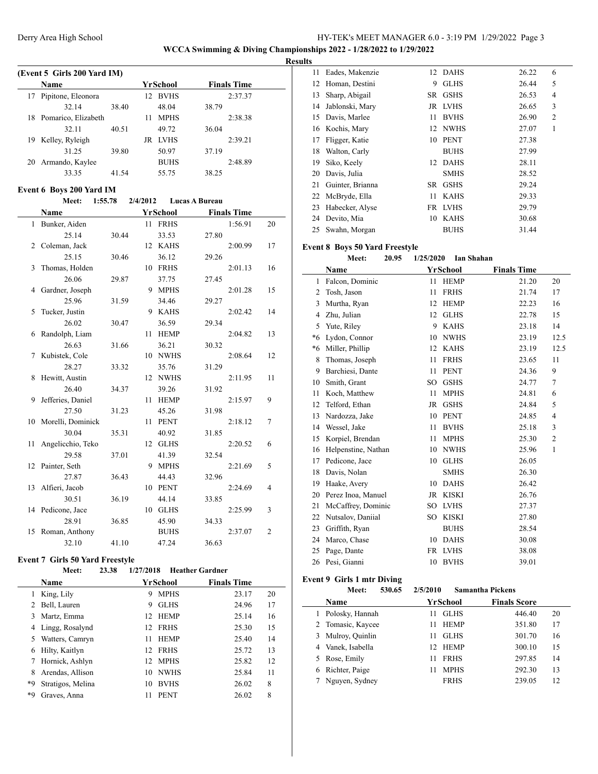**WCCA Swimming & Diving Championships 2022 - 1/28/2022 to 1/29/2022**

#### **Results**

|    | (Event 5 Girls 200 Yard IM) |       |     |             |       |                    |  |  |  |  |
|----|-----------------------------|-------|-----|-------------|-------|--------------------|--|--|--|--|
|    | <b>Name</b>                 |       |     | YrSchool    |       | <b>Finals Time</b> |  |  |  |  |
| 17 | Pipitone, Eleonora          |       | 12. | <b>BVHS</b> |       | 2:37.37            |  |  |  |  |
|    | 32.14                       | 38.40 |     | 48.04       | 38.79 |                    |  |  |  |  |
| 18 | Pomarico, Elizabeth         |       | 11  | <b>MPHS</b> |       | 2:38.38            |  |  |  |  |
|    | 32.11                       | 40.51 |     | 49.72       | 36.04 |                    |  |  |  |  |
| 19 | Kelley, Ryleigh             |       | JR  | <b>LVHS</b> |       | 2:39.21            |  |  |  |  |
|    | 31 25                       | 39.80 |     | 50.97       | 37.19 |                    |  |  |  |  |
| 20 | Armando, Kaylee             |       |     | <b>BUHS</b> |       | 2:48.89            |  |  |  |  |
|    | 33.35                       | 41 54 |     | 55.75       | 38.25 |                    |  |  |  |  |

#### **Event 6 Boys 200 Yard IM**

|                | Meet:             | 1:55.78 | 2/4/2012 |                 | <b>Lucas A Bureau</b> |                |
|----------------|-------------------|---------|----------|-----------------|-----------------------|----------------|
|                | Name              |         |          | <b>YrSchool</b> | <b>Finals Time</b>    |                |
|                | 1 Bunker, Aiden   |         |          | 11 FRHS         | 1:56.91               | 20             |
|                | 25.14             | 30.44   |          | 33.53           | 27.80                 |                |
| $\overline{c}$ | Coleman, Jack     |         |          | 12 KAHS         | 2:00.99               | 17             |
|                | 25.15             | 30.46   |          | 36.12           | 29.26                 |                |
| 3              | Thomas, Holden    |         |          | 10 FRHS         | 2:01.13               | 16             |
|                | 26.06             | 29.87   |          | 37.75           | 27.45                 |                |
| 4              | Gardner, Joseph   |         |          | 9 MPHS          | 2:01.28               | 15             |
|                | 25.96             | 31.59   |          | 34.46           | 29.27                 |                |
| 5              | Tucker, Justin    |         | 9        | <b>KAHS</b>     | 2:02.42               | 14             |
|                | 26.02             | 30.47   |          | 36.59           | 29.34                 |                |
| 6              | Randolph, Liam    |         | 11       | <b>HEMP</b>     | 2:04.82               | 13             |
|                | 26.63             | 31.66   |          | 36.21           | 30.32                 |                |
| 7              | Kubistek, Cole    |         |          | 10 NWHS         | 2:08.64               | 12             |
|                | 28.27             | 33.32   |          | 35.76           | 31.29                 |                |
| 8              | Hewitt, Austin    |         |          | 12 NWHS         | 2:11.95               | 11             |
|                | 26.40             | 34.37   |          | 39.26           | 31.92                 |                |
| 9              | Jefferies, Daniel |         | 11       | <b>HEMP</b>     | 2:15.97               | 9              |
|                | 27.50             | 31.23   |          | 45.26           | 31.98                 |                |
| 10             | Morelli, Dominick |         |          | 11 PENT         | 2:18.12               | 7              |
|                | 30.04             | 35.31   |          | 40.92           | 31.85                 |                |
| 11             | Angelicchio, Teko |         | 12       | <b>GLHS</b>     | 2:20.52               | 6              |
|                | 29.58             | 37.01   |          | 41.39           | 32.54                 |                |
|                | 12 Painter, Seth  |         | 9        | <b>MPHS</b>     | 2:21.69               | 5              |
|                | 27.87             | 36.43   |          | 44.43           | 32.96                 |                |
|                | 13 Alfieri, Jacob |         |          | 10 PENT         | 2:24.69               | 4              |
|                | 30.51             | 36.19   |          | 44.14           | 33.85                 |                |
|                | 14 Pedicone, Jace |         | 10       | <b>GLHS</b>     | 2:25.99               | 3              |
|                | 28.91             | 36.85   |          | 45.90           | 34.33                 |                |
| 15             | Roman, Anthony    |         |          | <b>BUHS</b>     | 2:37.07               | $\overline{2}$ |
|                | 32.10             | 41.10   |          | 47.24           | 36.63                 |                |

#### **Event 7 Girls 50 Yard Freestyle**

#### **Meet: 23.38 1/27/2018 Heather Gardner**

|    | <b>Name</b>       | YrSchool |             | <b>Finals Time</b> |    |
|----|-------------------|----------|-------------|--------------------|----|
|    | King, Lily        | 9        | <b>MPHS</b> | 23.17              | 20 |
| 2  | Bell, Lauren      | 9        | <b>GLHS</b> | 24.96              | 17 |
| 3  | Martz, Emma       | 12.      | <b>HEMP</b> | 25.14              | 16 |
| 4  | Lingg, Rosalynd   | 12       | <b>FRHS</b> | 25.30              | 15 |
| 5. | Watters, Camryn   | 11       | <b>HEMP</b> | 25.40              | 14 |
| 6  | Hilty, Kaitlyn    | 12       | <b>FRHS</b> | 25.72              | 13 |
|    | Hornick, Ashlyn   | 12.      | <b>MPHS</b> | 25.82              | 12 |
| 8  | Arendas, Allison  | 10       | <b>NWHS</b> | 25.84              | 11 |
| *9 | Stratigos, Melina | 10       | <b>BVHS</b> | 26.02              | 8  |
| *9 | Graves, Anna      | 11       | <b>PENT</b> | 26.02              | 8  |

| 11 | Eades, Makenzie  | 12        | <b>DAHS</b> | 26.22 | 6 |
|----|------------------|-----------|-------------|-------|---|
| 12 | Homan, Destini   | 9         | <b>GLHS</b> | 26.44 | 5 |
| 13 | Sharp, Abigail   | SR        | <b>GSHS</b> | 26.53 | 4 |
| 14 | Jablonski, Mary  | JR        | LVHS        | 26.65 | 3 |
| 15 | Davis, Marlee    | 11        | <b>BVHS</b> | 26.90 | 2 |
| 16 | Kochis, Mary     | 12        | <b>NWHS</b> | 27.07 | 1 |
| 17 | Fligger, Katie   | 10        | <b>PENT</b> | 27.38 |   |
| 18 | Walton, Carly    |           | <b>BUHS</b> | 27.99 |   |
| 19 | Siko, Keely      | 12        | <b>DAHS</b> | 28.11 |   |
| 20 | Davis, Julia     |           | <b>SMHS</b> | 28.52 |   |
| 21 | Guinter, Brianna | <b>SR</b> | <b>GSHS</b> | 29.24 |   |
| 22 | McBryde, Ella    | 11        | <b>KAHS</b> | 29.33 |   |
| 23 | Habecker, Alyse  | FR        | LVHS        | 29.79 |   |
| 24 | Devito, Mia      | 10        | <b>KAHS</b> | 30.68 |   |
| 25 | Swahn, Morgan    |           | <b>BUHS</b> | 31.44 |   |

#### **Event 8 Boys 50 Yard Freestyle**

**Meet: 20.95 1/25/2020 Ian Shahan**

|         | Name                |           | YrSchool     | <b>Finals Time</b> |                |
|---------|---------------------|-----------|--------------|--------------------|----------------|
| 1       | Falcon, Dominic     | 11        | <b>HEMP</b>  | 21.20              | 20             |
| 2       | Tosh, Jason         | 11        | <b>FRHS</b>  | 21.74              | 17             |
| 3       | Murtha, Ryan        | 12        | <b>HEMP</b>  | 22.23              | 16             |
| 4       | Zhu, Julian         | 12        | <b>GLHS</b>  | 22.78              | 15             |
| 5       | Yute, Riley         | 9         | <b>KAHS</b>  | 23.18              | 14             |
| $*_{6}$ | Lydon, Connor       | 10        | <b>NWHS</b>  | 23.19              | 12.5           |
| *6      | Miller, Phillip     | 12        | <b>KAHS</b>  | 23.19              | 12.5           |
| 8       | Thomas, Joseph      | 11        | <b>FRHS</b>  | 23.65              | 11             |
| 9       | Barchiesi, Dante    | 11        | <b>PENT</b>  | 24.36              | 9              |
| 10      | Smith, Grant        | SO.       | <b>GSHS</b>  | 24.77              | $\overline{7}$ |
| 11      | Koch, Matthew       | 11        | <b>MPHS</b>  | 24.81              | 6              |
| 12      | Telford, Ethan      | JR        | <b>GSHS</b>  | 24.84              | 5              |
| 13      | Nardozza, Jake      | 10        | <b>PENT</b>  | 24.85              | $\overline{4}$ |
| 14      | Wessel, Jake        | 11        | <b>BVHS</b>  | 25.18              | 3              |
| 15      | Korpiel, Brendan    | 11        | <b>MPHS</b>  | 25.30              | $\overline{c}$ |
| 16      | Helpenstine, Nathan | 10        | <b>NWHS</b>  | 25.96              | $\mathbf{1}$   |
| 17      | Pedicone, Jace      | 10        | <b>GLHS</b>  | 26.05              |                |
| 18      | Davis, Nolan        |           | <b>SMHS</b>  | 26.30              |                |
| 19      | Haake, Avery        | 10        | <b>DAHS</b>  | 26.42              |                |
| 20      | Perez Inoa, Manuel  | JR        | <b>KISKI</b> | 26.76              |                |
| 21      | McCaffrey, Dominic  | SO        | <b>LVHS</b>  | 27.37              |                |
| 22      | Nutsalov, Daniial   | SO.       | <b>KISKI</b> | 27.80              |                |
| 23      | Griffith, Ryan      |           | <b>BUHS</b>  | 28.54              |                |
| 24      | Marco, Chase        | 10        | <b>DAHS</b>  | 30.08              |                |
| 25      | Page, Dante         | <b>FR</b> | <b>LVHS</b>  | 38.08              |                |
| 26      | Pesi, Gianni        | 10        | <b>BVHS</b>  | 39.01              |                |
|         |                     |           |              |                    |                |

#### **Event 9 Girls 1 mtr Diving**

|   | 530.65<br>Meet:   | 2/5/2010           | <b>Samantha Pickens</b> |    |
|---|-------------------|--------------------|-------------------------|----|
|   | Name              | YrSchool           | <b>Finals Score</b>     |    |
| L | Polosky, Hannah   | <b>GLHS</b><br>11  | 446.40                  | 20 |
|   | 2 Tomasic, Kaycee | <b>HEMP</b><br>11  | 351.80                  | 17 |
| 3 | Mulroy, Quinlin   | <b>GLHS</b><br>11  | 301.70                  | 16 |
|   | 4 Vanek, Isabella | <b>HEMP</b><br>12. | 300.10                  | 15 |
|   | 5 Rose, Emily     | <b>FRHS</b><br>11  | 297.85                  | 14 |
| 6 | Richter, Paige    | <b>MPHS</b><br>11  | 292.30                  | 13 |
|   | Nguyen, Sydney    | <b>FRHS</b>        | 239.05                  | 12 |
|   |                   |                    |                         |    |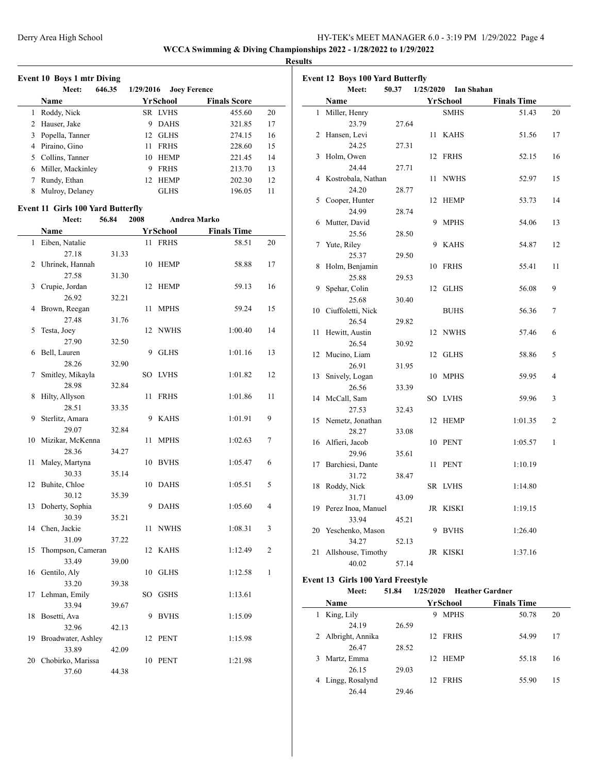**WCCA Swimming & Diving Championships 2022 - 1/28/2022 to 1/29/2022**

**Results**

|  | <b>Event 10 Boys 1 mtr Diving</b> |
|--|-----------------------------------|
|  |                                   |

|    | 646.35<br>Meet:   | 1/29/2016<br><b>Joey Ference</b> |                     |    |
|----|-------------------|----------------------------------|---------------------|----|
|    | <b>Name</b>       | YrSchool                         | <b>Finals Score</b> |    |
|    | Roddy, Nick       | SR LVHS                          | 455.60              | 20 |
| 2  | Hauser, Jake      | <b>DAHS</b><br>9                 | 321.85              | 17 |
| 3  | Popella, Tanner   | <b>GLHS</b><br>12                | 274.15              | 16 |
| 4  | Piraino, Gino     | <b>FRHS</b><br>11                | 228.60              | 15 |
| 5. | Collins, Tanner   | <b>HEMP</b><br>10                | 221.45              | 14 |
| 6  | Miller, Mackinley | <b>FRHS</b><br>9                 | 213.70              | 13 |
|    | Rundy, Ethan      | <b>HEMP</b><br>12.               | 202.30              | 12 |
| 8  | Mulroy, Delaney   | <b>GLHS</b>                      | 196.05              | 11 |

#### **Event 11 Girls 100 Yard Butterfly**

 $\overline{a}$ 

|    | Meet:                       | 56.84 | 2008 |             | Andrea Marko       |                         |
|----|-----------------------------|-------|------|-------------|--------------------|-------------------------|
|    | Name                        |       |      | YrSchool    | <b>Finals Time</b> |                         |
| 1  | Eiben, Natalie              |       | 11   | <b>FRHS</b> | 58.51              | 20                      |
|    | 27.18                       | 31.33 |      |             |                    |                         |
| 2  | Uhrinek, Hannah             |       | 10   | <b>HEMP</b> | 58.88              | 17                      |
|    | 27.58                       | 31.30 |      |             |                    |                         |
| 3  | Crupie, Jordan              |       | 12   | <b>HEMP</b> | 59.13              | 16                      |
|    | 26.92                       | 32.21 |      |             |                    |                         |
| 4  | Brown, Reegan               |       | 11   | <b>MPHS</b> | 59.24              | 15                      |
|    | 27.48                       | 31.76 |      |             |                    |                         |
| 5  | Testa, Joey                 |       | 12   | <b>NWHS</b> | 1:00.40            | 14                      |
|    | 27.90                       | 32.50 |      |             |                    |                         |
| 6  | Bell, Lauren                |       | 9    | <b>GLHS</b> | 1:01.16            | 13                      |
|    | 28.26                       | 32.90 |      |             |                    |                         |
| 7  | Smitley, Mikayla            |       | SO   | <b>LVHS</b> | 1:01.82            | 12                      |
|    | 28.98                       | 32.84 |      |             |                    |                         |
| 8  | Hilty, Allyson              |       | 11   | <b>FRHS</b> | 1:01.86            | 11                      |
|    | 28.51                       | 33.35 |      |             |                    |                         |
| 9  | Sterlitz, Amara             |       | 9    | <b>KAHS</b> | 1:01.91            | 9                       |
|    | 29.07                       | 32.84 |      |             |                    |                         |
| 10 | Mizikar, McKenna            |       | 11   | <b>MPHS</b> | 1:02.63            | 7                       |
|    | 28.36                       | 34.27 |      |             |                    |                         |
| 11 | Maley, Martyna              |       | 10   | <b>BVHS</b> | 1:05.47            | 6                       |
|    | 30.33                       | 35.14 |      |             |                    |                         |
| 12 | Buhite, Chloe               |       | 10   | <b>DAHS</b> | 1:05.51            | 5                       |
|    | 30.12                       | 35.39 |      |             |                    |                         |
| 13 | Doherty, Sophia             |       | 9    | <b>DAHS</b> | 1:05.60            | $\overline{\mathbf{4}}$ |
|    | 30.39                       | 35.21 |      |             |                    |                         |
| 14 | Chen, Jackie                |       | 11   | <b>NWHS</b> | 1:08.31            | 3                       |
|    | 31.09                       | 37.22 |      |             |                    |                         |
| 15 | Thompson, Cameran           |       | 12   | <b>KAHS</b> | 1:12.49            | 2                       |
|    | 33.49                       | 39.00 |      |             |                    |                         |
| 16 | Gentilo, Aly                |       |      | 10 GLHS     | 1:12.58            | 1                       |
|    | 33.20                       | 39.38 |      |             |                    |                         |
| 17 | Lehman, Emily               |       |      | SO GSHS     | 1:13.61            |                         |
|    | 33.94                       | 39.67 | 9    |             |                    |                         |
| 18 | Bosetti, Ava                |       |      | <b>BVHS</b> | 1:15.09            |                         |
|    | 32.96                       | 42.13 |      | <b>PENT</b> |                    |                         |
| 19 | Broadwater, Ashley<br>33.89 |       | 12   |             | 1:15.98            |                         |
|    | 20 Chobirko, Marissa        | 42.09 | 10   | <b>PENT</b> | 1:21.98            |                         |
|    |                             |       |      |             |                    |                         |
|    | 37.60                       | 44.38 |      |             |                    |                         |

|              | <b>Event 12 Boys 100 Yard Butterfly</b><br>Meet: | 50.37 | 1/25/2020 | <b>Ian Shahan</b> |                    |    |
|--------------|--------------------------------------------------|-------|-----------|-------------------|--------------------|----|
|              | Name                                             |       |           | YrSchool          | <b>Finals Time</b> |    |
| $\mathbf{1}$ | Miller, Henry                                    |       |           | <b>SMHS</b>       | 51.43              | 20 |
|              | 23.79                                            | 27.64 |           |                   |                    |    |
| 2            | Hansen, Levi                                     |       | 11        | <b>KAHS</b>       | 51.56              | 17 |
|              | 24.25                                            | 27.31 |           |                   |                    |    |
| 3            | Holm, Owen                                       |       | 12        | <b>FRHS</b>       | 52.15              | 16 |
|              | 24.44                                            | 27.71 |           |                   |                    |    |
| 4            | Kostrobala, Nathan                               |       | 11        | <b>NWHS</b>       | 52.97              | 15 |
|              | 24.20                                            | 28.77 |           |                   |                    |    |
| 5            | Cooper, Hunter                                   |       | 12        | <b>HEMP</b>       | 53.73              | 14 |
|              | 24.99                                            | 28.74 |           |                   |                    |    |
| 6            | Mutter, David                                    |       | 9         | <b>MPHS</b>       | 54.06              | 13 |
|              | 25.56                                            | 28.50 |           |                   |                    |    |
| 7            | Yute, Riley                                      |       | 9         | <b>KAHS</b>       | 54.87              | 12 |
|              | 25.37                                            | 29.50 |           |                   |                    |    |
| 8            | Holm, Benjamin                                   |       | 10        | <b>FRHS</b>       | 55.41              | 11 |
|              | 25.88                                            | 29.53 |           |                   |                    |    |
| 9            | Spehar, Colin                                    |       |           | 12 GLHS           | 56.08              | 9  |
|              | 25.68                                            | 30.40 |           |                   |                    |    |
| 10           | Ciuffoletti, Nick                                |       |           | <b>BUHS</b>       | 56.36              | 7  |
|              | 26.54                                            | 29.82 |           |                   |                    |    |
| 11           | Hewitt, Austin                                   |       |           | 12 NWHS           | 57.46              | 6  |
|              | 26.54                                            | 30.92 |           |                   |                    |    |
| 12           | Mucino, Liam                                     |       |           | 12 GLHS           | 58.86              | 5  |
|              | 26.91                                            | 31.95 |           |                   |                    |    |
| 13           | Snively, Logan                                   |       | 10        | <b>MPHS</b>       | 59.95              | 4  |
|              | 26.56                                            | 33.39 |           |                   |                    |    |
|              | 14 McCall, Sam                                   |       | SO        | LVHS              | 59.96              | 3  |
|              | 27.53                                            | 32.43 |           |                   |                    |    |
| 15           | Nemetz, Jonathan                                 |       | 12        | HEMP              | 1:01.35            | 2  |
|              | 28.27                                            | 33.08 |           |                   |                    |    |
| 16           | Alfieri, Jacob                                   |       | 10        | <b>PENT</b>       | 1:05.57            | 1  |
|              | 29.96                                            | 35.61 |           |                   |                    |    |
| 17           | Barchiesi, Dante                                 |       | 11        | <b>PENT</b>       | 1:10.19            |    |
|              | 31.72                                            | 38.47 |           |                   |                    |    |
| 18           | Roddy, Nick                                      |       |           | SR LVHS           | 1:14.80            |    |
|              | 31.71                                            | 43.09 |           |                   |                    |    |
| 19           | Perez Inoa, Manuel                               |       |           | JR KISKI          | 1:19.15            |    |
|              | 33.94                                            | 45.21 |           |                   |                    |    |
| 20           | Yeschenko, Mason                                 |       | 9         | <b>BVHS</b>       | 1:26.40            |    |
|              | 34.27                                            | 52.13 |           |                   |                    |    |
| 21           | Allshouse, Timothy                               |       |           | JR KISKI          | 1:37.16            |    |
|              | 40.02                                            | 57.14 |           |                   |                    |    |

#### **Event 13 Girls 100 Yard Freestyle**

| Meet: | 51.84 | 1/25/2020 Heather Gardner |
|-------|-------|---------------------------|

| <b>Name</b>        |       | YrSchool                    | <b>Finals Time</b> |  |
|--------------------|-------|-----------------------------|--------------------|--|
| King, Lily         |       | <b>MPHS</b><br>9            | 20<br>50.78        |  |
| 24.19              | 26.59 |                             |                    |  |
| 2 Albright, Annika |       | <b>FRHS</b><br>12.          | 54.99<br>17        |  |
| 26.47              | 28.52 |                             |                    |  |
| Martz, Emma<br>3   |       | <b>HEMP</b><br>$12^{\circ}$ | 55.18<br>16        |  |
| 26.15              | 29.03 |                             |                    |  |
| 4 Lingg, Rosalynd  |       | <b>FRHS</b><br>12           | 55.90<br>15        |  |
| 26.44              | 29.46 |                             |                    |  |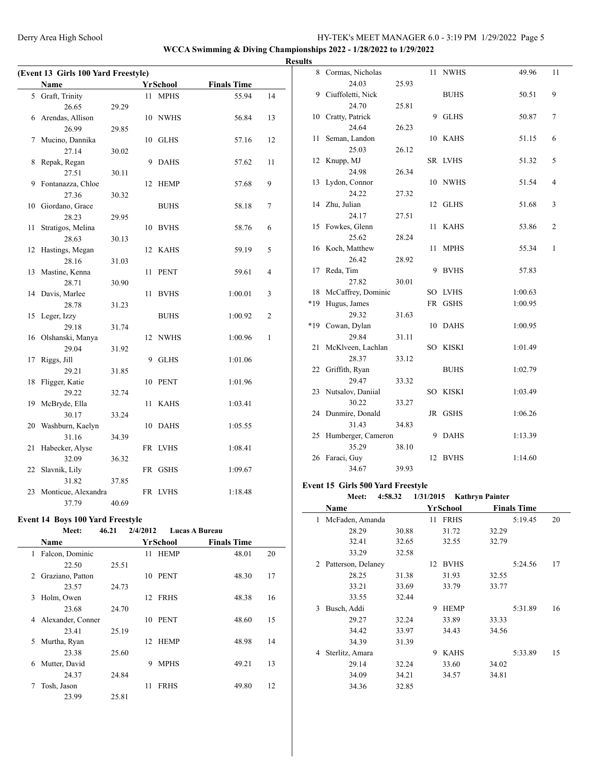**WCCA Swimming & Diving Championships 2022 - 1/28/2022 to 1/29/2022**

| (Event 13 Girls 100 Yard Freestyle)           |                     |       |    |             |         |                |  |
|-----------------------------------------------|---------------------|-------|----|-------------|---------|----------------|--|
| <b>Finals Time</b><br>Name<br><b>YrSchool</b> |                     |       |    |             |         |                |  |
|                                               | 5 Graft, Trinity    |       |    | 11 MPHS     | 55.94   | 14             |  |
|                                               | 26.65               | 29.29 |    |             |         |                |  |
| 6                                             | Arendas, Allison    |       |    | 10 NWHS     | 56.84   | 13             |  |
|                                               | 26.99               | 29.85 |    |             |         |                |  |
| 7                                             | Mucino, Dannika     |       | 10 | <b>GLHS</b> | 57.16   | 12             |  |
|                                               | 27.14               | 30.02 |    |             |         |                |  |
| 8                                             | Repak, Regan        |       | 9  | <b>DAHS</b> | 57.62   | 11             |  |
|                                               | 27.51               | 30.11 |    |             |         |                |  |
| 9                                             | Fontanazza, Chloe   |       | 12 | <b>HEMP</b> | 57.68   | 9              |  |
|                                               | 27.36               | 30.32 |    |             |         |                |  |
|                                               | 10 Giordano, Grace  |       |    | <b>BUHS</b> | 58.18   | 7              |  |
|                                               | 28.23               | 29.95 |    |             |         |                |  |
| 11                                            | Stratigos, Melina   |       | 10 | <b>BVHS</b> | 58.76   | 6              |  |
|                                               | 28.63               | 30.13 |    |             |         |                |  |
| 12                                            | Hastings, Megan     |       | 12 | <b>KAHS</b> | 59.19   | 5              |  |
|                                               | 28.16               | 31.03 |    |             |         |                |  |
| 13                                            | Mastine, Kenna      |       | 11 | <b>PENT</b> | 59.61   | $\overline{4}$ |  |
|                                               | 28.71               | 30.90 |    |             |         |                |  |
| 14                                            | Davis, Marlee       |       | 11 | <b>BVHS</b> | 1:00.01 | 3              |  |
|                                               | 28.78               | 31.23 |    |             |         |                |  |
| 15                                            | Leger, Izzy         |       |    | <b>BUHS</b> | 1:00.92 | 2              |  |
|                                               | 29.18               | 31.74 |    |             |         |                |  |
|                                               | 16 Olshanski, Manya |       | 12 | <b>NWHS</b> | 1:00.96 | 1              |  |
|                                               | 29.04               | 31.92 |    |             |         |                |  |
| 17                                            | Riggs, Jill         |       | 9  | <b>GLHS</b> | 1:01.06 |                |  |
|                                               | 29.21               | 31.85 |    |             |         |                |  |
| 18                                            | Fligger, Katie      |       | 10 | <b>PENT</b> | 1:01.96 |                |  |
|                                               | 29.22               | 32.74 |    |             |         |                |  |
| 19                                            | McBryde, Ella       |       | 11 | <b>KAHS</b> | 1:03.41 |                |  |
|                                               | 30.17               | 33.24 |    |             |         |                |  |
| 20                                            | Washburn, Kaelyn    |       |    | 10 DAHS     | 1:05.55 |                |  |
|                                               | 31.16               | 34.39 |    |             |         |                |  |
| 21                                            | Habecker, Alyse     |       |    | FR LVHS     | 1:08.41 |                |  |
|                                               | 32.09               | 36.32 |    |             |         |                |  |
| 22                                            | Slavnik, Lily       |       |    | FR GSHS     | 1:09.67 |                |  |
|                                               | 31.82               | 37.85 |    |             |         |                |  |
| 23                                            | Monticue, Alexandra |       |    | FR LVHS     | 1:18.48 |                |  |
|                                               | 37.79               | 40.69 |    |             |         |                |  |

# **Event 14 Boys 100 Yard Freestyle**<br>Meet: 46.21 2/4/2

## **Meet: 46.21 2/4/2012 Lucas A Bureau**

|   | <b>Name</b>       |       |    | YrSchool    | <b>Finals Time</b> |    |
|---|-------------------|-------|----|-------------|--------------------|----|
| 1 | Falcon, Dominic   |       |    | 11 HEMP     | 48.01              | 20 |
|   | 22.50             | 25.51 |    |             |                    |    |
| 2 | Graziano, Patton  |       | 10 | PENT        | 48.30              | 17 |
|   | 23.57             | 24.73 |    |             |                    |    |
| 3 | Holm, Owen        |       | 12 | <b>FRHS</b> | 48.38              | 16 |
|   | 23.68             | 24.70 |    |             |                    |    |
| 4 | Alexander, Conner |       | 10 | <b>PENT</b> | 48.60              | 15 |
|   | 23.41             | 25.19 |    |             |                    |    |
| 5 | Murtha, Ryan      |       | 12 | <b>HEMP</b> | 48.98              | 14 |
|   | 23.38             | 25.60 |    |             |                    |    |
| 6 | Mutter, David     |       | 9  | <b>MPHS</b> | 49.21              | 13 |
|   | 24.37             | 24.84 |    |             |                    |    |
| 7 | Tosh, Jason       |       | 11 | <b>FRHS</b> | 49.80              | 12 |
|   | 23.99             | 25.81 |    |             |                    |    |
|   |                   |       |    |             |                    |    |

| <b>Results</b> |                       |       |    |             |         |                |
|----------------|-----------------------|-------|----|-------------|---------|----------------|
|                | 8 Cormas, Nicholas    |       |    | 11 NWHS     | 49.96   | 11             |
|                | 24.03                 | 25.93 |    |             |         |                |
|                | 9 Ciuffoletti, Nick   |       |    | <b>BUHS</b> | 50.51   | 9              |
|                | 24.70                 | 25.81 |    |             |         |                |
|                | 10 Cratty, Patrick    |       |    | 9 GLHS      | 50.87   | 7              |
|                | 24.64                 | 26.23 |    |             |         |                |
|                | 11 Seman, Landon      |       |    | 10 KAHS     | 51.15   | 6              |
|                | 25.03                 | 26.12 |    |             |         |                |
|                | 12 Knupp, MJ          |       |    | SR LVHS     | 51.32   | 5              |
|                | 24.98                 | 26.34 |    |             |         |                |
|                | 13 Lydon, Connor      |       |    | 10 NWHS     | 51.54   | 4              |
|                | 24.22                 | 27.32 |    |             |         |                |
|                | 14 Zhu, Julian        |       |    | 12 GLHS     | 51.68   | 3              |
|                | 24.17                 | 27.51 |    |             |         |                |
|                | 15 Fowkes, Glenn      |       |    | 11 KAHS     | 53.86   | $\overline{2}$ |
|                | 25.62                 | 28.24 |    |             |         |                |
|                | 16 Koch, Matthew      |       | 11 | <b>MPHS</b> | 55.34   | 1              |
|                | 26.42                 | 28.92 |    |             |         |                |
|                | 17 Reda, Tim          |       |    | 9 BVHS      | 57.83   |                |
|                | 27.82                 | 30.01 |    |             |         |                |
|                | 18 McCaffrey, Dominic |       |    | SO LVHS     | 1:00.63 |                |
| $*19$          | Hugus, James          |       |    | FR GSHS     | 1:00.95 |                |
|                | 29.32                 | 31.63 |    |             |         |                |
|                | *19 Cowan, Dylan      |       |    | 10 DAHS     | 1:00.95 |                |
|                | 29.84                 | 31.11 |    |             |         |                |
|                | 21 McKlveen, Lachlan  |       |    | SO KISKI    | 1:01.49 |                |
|                | 28.37                 | 33.12 |    |             |         |                |
|                | 22 Griffith, Ryan     |       |    | <b>BUHS</b> | 1:02.79 |                |
|                | 29.47                 | 33.32 |    |             |         |                |
|                | 23 Nutsalov, Daniial  |       |    | SO KISKI    | 1:03.49 |                |
|                | 30.22                 | 33.27 |    |             |         |                |
|                | 24 Dunmire, Donald    |       |    | JR GSHS     | 1:06.26 |                |
|                | 31.43                 | 34.83 |    |             |         |                |
|                | 25 Humberger, Cameron |       |    | 9 DAHS      | 1:13.39 |                |
|                | 35.29                 | 38.10 |    |             |         |                |
|                | 26 Faraci, Guy        |       |    | 12 BVHS     | 1:14.60 |                |
|                | 34.67                 | 39.93 |    |             |         |                |

#### **Event 15 Girls 500 Yard Freestyle**

|              | Meet:              | 4:58.32 | 1/31/2015 |             | <b>Kathryn Painter</b> |    |
|--------------|--------------------|---------|-----------|-------------|------------------------|----|
|              | Name               |         |           | YrSchool    | <b>Finals Time</b>     |    |
| 1            | McFaden, Amanda    |         | 11        | <b>FRHS</b> | 5:19.45                | 20 |
|              | 28.29              | 30.88   |           | 31.72       | 32.29                  |    |
|              | 32.41              | 32.65   |           | 32.55       | 32.79                  |    |
|              | 33.29              | 32.58   |           |             |                        |    |
| 2            | Patterson, Delaney |         | 12        | <b>BVHS</b> | 5:24.56                | 17 |
|              | 28.25              | 31.38   |           | 31.93       | 32.55                  |    |
|              | 33.21              | 33.69   |           | 33.79       | 33.77                  |    |
|              | 33.55              | 32.44   |           |             |                        |    |
| $\mathbf{3}$ | Busch, Addi        |         | 9         | <b>HEMP</b> | 5:31.89                | 16 |
|              | 29.27              | 32.24   |           | 33.89       | 33.33                  |    |
|              | 34.42              | 33.97   |           | 34.43       | 34.56                  |    |
|              | 34.39              | 31.39   |           |             |                        |    |
| 4            | Sterlitz, Amara    |         | 9         | <b>KAHS</b> | 5:33.89                | 15 |
|              | 29.14              | 32.24   |           | 33.60       | 34.02                  |    |
|              | 34.09              | 34.21   |           | 34.57       | 34.81                  |    |
|              | 34.36              | 32.85   |           |             |                        |    |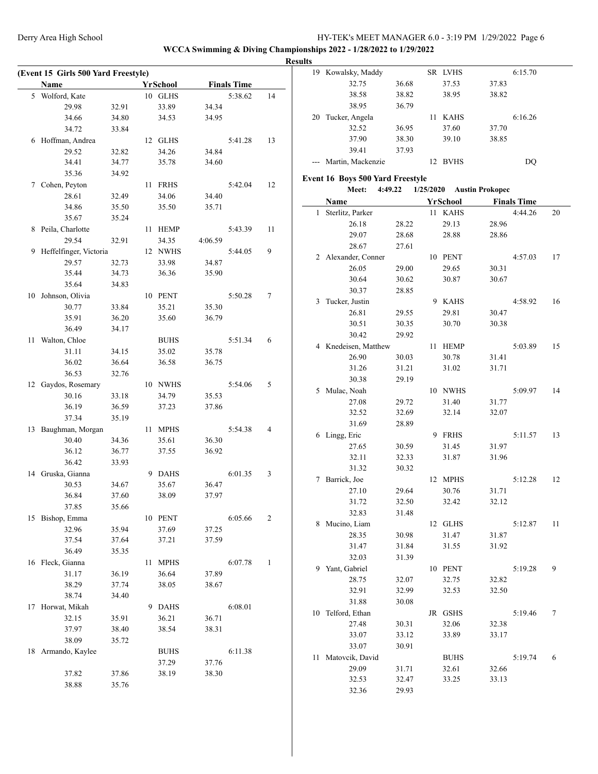**WCCA Swimming & Diving Championships 2022 - 1/28/2022 to 1/29/2022 Results**

 $\frac{1}{2}$ 

|    | <b>Name</b>            |       |    | YrSchool    |         | <b>Finals Time</b> |    |  |
|----|------------------------|-------|----|-------------|---------|--------------------|----|--|
| 5  | Wolford, Kate          |       |    | 10 GLHS     |         | 5:38.62            | 14 |  |
|    | 29.98                  | 32.91 |    | 33.89       | 34.34   |                    |    |  |
|    | 34.66                  | 34.80 |    | 34.53       | 34.95   |                    |    |  |
|    | 34.72                  | 33.84 |    |             |         |                    |    |  |
| 6  | Hoffman, Andrea        |       |    | 12 GLHS     |         | 5:41.28            | 13 |  |
|    | 29.52                  | 32.82 |    | 34.26       | 34.84   |                    |    |  |
|    | 34.41                  | 34.77 |    | 35.78       | 34.60   |                    |    |  |
|    | 35.36                  | 34.92 |    |             |         |                    |    |  |
| 7  | Cohen, Peyton          |       | 11 | <b>FRHS</b> |         | 5:42.04            | 12 |  |
|    | 28.61                  | 32.49 |    | 34.06       | 34.40   |                    |    |  |
|    | 34.86                  | 35.50 |    | 35.50       | 35.71   |                    |    |  |
|    | 35.67                  | 35.24 |    |             |         |                    |    |  |
| 8  | Peila, Charlotte       |       | 11 | <b>HEMP</b> |         | 5:43.39            | 11 |  |
|    | 29.54                  | 32.91 |    | 34.35       | 4:06.59 |                    |    |  |
| 9  | Heffelfinger, Victoria |       |    | 12 NWHS     |         | 5:44.05            | 9  |  |
|    | 29.57                  | 32.73 |    | 33.98       | 34.87   |                    |    |  |
|    | 35.44                  | 34.73 |    | 36.36       | 35.90   |                    |    |  |
|    | 35.64                  | 34.83 |    |             |         |                    |    |  |
| 10 | Johnson, Olivia        |       |    | 10 PENT     |         | 5:50.28            | 7  |  |
|    | 30.77                  | 33.84 |    | 35.21       | 35.30   |                    |    |  |
|    | 35.91                  | 36.20 |    | 35.60       | 36.79   |                    |    |  |
|    | 36.49                  | 34.17 |    |             |         |                    |    |  |
|    |                        |       |    |             |         |                    |    |  |
| 11 | Walton, Chloe          |       |    | <b>BUHS</b> |         | 5:51.34            | 6  |  |
|    | 31.11                  | 34.15 |    | 35.02       | 35.78   |                    |    |  |
|    | 36.02                  | 36.64 |    | 36.58       | 36.75   |                    |    |  |
|    | 36.53                  | 32.76 |    |             |         |                    |    |  |
|    | 12 Gaydos, Rosemary    |       |    | 10 NWHS     |         | 5:54.06            | 5  |  |
|    | 30.16                  | 33.18 |    | 34.79       | 35.53   |                    |    |  |
|    | 36.19                  | 36.59 |    | 37.23       | 37.86   |                    |    |  |
|    | 37.34                  | 35.19 |    |             |         |                    |    |  |
| 13 | Baughman, Morgan       |       | 11 | <b>MPHS</b> |         | 5:54.38            | 4  |  |
|    | 30.40                  | 34.36 |    | 35.61       | 36.30   |                    |    |  |
|    | 36.12                  | 36.77 |    | 37.55       | 36.92   |                    |    |  |
|    | 36.42                  | 33.93 |    |             |         |                    |    |  |
|    | 14 Gruska, Gianna      |       |    | 9 DAHS      |         | 6:01.35            | 3  |  |
|    | 30.53                  | 34.67 |    | 35.67       | 36.47   |                    |    |  |
|    | 36.84                  | 37.60 |    | 38.09       | 37.97   |                    |    |  |
|    | 37.85                  | 35.66 |    |             |         |                    |    |  |
| 15 | Bishop, Emma           |       |    | 10 PENT     |         | 6:05.66            | 2  |  |
|    | 32.96                  | 35.94 |    | 37.69       | 37.25   |                    |    |  |
|    | 37.54                  | 37.64 |    | 37.21       | 37.59   |                    |    |  |
|    | 36.49                  | 35.35 |    |             |         |                    |    |  |
| 16 | Fleck, Gianna          |       | 11 | <b>MPHS</b> |         | 6:07.78            | 1  |  |
|    | 31.17                  | 36.19 |    | 36.64       | 37.89   |                    |    |  |
|    | 38.29                  | 37.74 |    | 38.05       | 38.67   |                    |    |  |
|    | 38.74                  | 34.40 |    |             |         |                    |    |  |
| 17 | Horwat, Mikah          |       | 9. | <b>DAHS</b> |         | 6:08.01            |    |  |
|    | 32.15                  | 35.91 |    | 36.21       | 36.71   |                    |    |  |
|    | 37.97                  | 38.40 |    | 38.54       | 38.31   |                    |    |  |
|    | 38.09                  | 35.72 |    |             |         |                    |    |  |
| 18 | Armando, Kaylee        |       |    | <b>BUHS</b> |         | 6:11.38            |    |  |
|    |                        |       |    | 37.29       | 37.76   |                    |    |  |
|    | 37.82                  | 37.86 |    | 38.19       | 38.30   |                    |    |  |
|    | 38.88                  | 35.76 |    |             |         |                    |    |  |

| 19 | Kowalsky, Maddy                                             |                | SR LVHS             |                           | 6:15.70            |    |
|----|-------------------------------------------------------------|----------------|---------------------|---------------------------|--------------------|----|
|    | 32.75                                                       | 36.68          | 37.53               | 37.83                     |                    |    |
|    | 38.58                                                       | 38.82          | 38.95               | 38.82                     |                    |    |
|    | 38.95                                                       | 36.79          |                     |                           |                    |    |
|    | 20 Tucker, Angela                                           |                | 11 KAHS             |                           | 6:16.26            |    |
|    | 32.52                                                       | 36.95          | 37.60               | 37.70                     |                    |    |
|    | 37.90                                                       | 38.30          | 39.10               | 38.85                     |                    |    |
|    | 39.41                                                       | 37.93          |                     |                           |                    |    |
|    | Martin, Mackenzie                                           |                | 12 BVHS             |                           | DQ                 |    |
|    |                                                             |                |                     |                           |                    |    |
|    | <b>Event 16 Boys 500 Yard Freestyle</b><br>Meet:<br>4:49.22 |                |                     | 1/25/2020 Austin Prokopec |                    |    |
|    |                                                             |                |                     |                           | <b>Finals Time</b> |    |
| 1  | Name                                                        |                | YrSchool<br>11 KAHS |                           | 4:44.26            | 20 |
|    | Sterlitz, Parker<br>26.18                                   |                | 29.13               |                           |                    |    |
|    | 29.07                                                       | 28.22<br>28.68 | 28.88               | 28.96<br>28.86            |                    |    |
|    | 28.67                                                       | 27.61          |                     |                           |                    |    |
|    | 2 Alexander, Conner                                         |                | 10 PENT             |                           | 4:57.03            | 17 |
|    | 26.05                                                       | 29.00          | 29.65               | 30.31                     |                    |    |
|    | 30.64                                                       | 30.62          | 30.87               | 30.67                     |                    |    |
|    | 30.37                                                       | 28.85          |                     |                           |                    |    |
|    | Tucker, Justin                                              |                | 9 KAHS              |                           |                    |    |
| 3  | 26.81                                                       |                |                     |                           | 4:58.92            | 16 |
|    | 30.51                                                       | 29.55          | 29.81<br>30.70      | 30.47                     |                    |    |
|    | 30.42                                                       | 30.35<br>29.92 |                     | 30.38                     |                    |    |
|    |                                                             |                |                     |                           |                    | 15 |
|    | 4 Knedeisen, Matthew                                        |                | 11 HEMP             |                           | 5:03.89            |    |
|    | 26.90<br>31.26                                              | 30.03<br>31.21 | 30.78<br>31.02      | 31.41<br>31.71            |                    |    |
|    | 30.38                                                       | 29.19          |                     |                           |                    |    |
|    | 5 Mulac, Noah                                               |                | 10 NWHS             |                           | 5:09.97            | 14 |
|    | 27.08                                                       | 29.72          | 31.40               | 31.77                     |                    |    |
|    | 32.52                                                       | 32.69          | 32.14               | 32.07                     |                    |    |
|    | 31.69                                                       | 28.89          |                     |                           |                    |    |
|    | 6 Lingg, Eric                                               |                | 9 FRHS              |                           | 5:11.57            | 13 |
|    | 27.65                                                       | 30.59          | 31.45               | 31.97                     |                    |    |
|    | 32.11                                                       | 32.33          | 31.87               | 31.96                     |                    |    |
|    | 31.32                                                       | 30.32          |                     |                           |                    |    |
|    | 7 Barrick, Joe                                              |                | 12 MPHS             |                           | 5:12.28            | 12 |
|    | 27.10                                                       | 29.64          | 30.76               | 31.71                     |                    |    |
|    | 31.72                                                       | 32.50          | 32.42               | 32.12                     |                    |    |
|    | 32.83                                                       | 31.48          |                     |                           |                    |    |
| 8  | Mucino, Liam                                                |                | 12 GLHS             |                           | 5:12.87            | 11 |
|    | 28.35                                                       | 30.98          | 31.47               | 31.87                     |                    |    |
|    | 31.47                                                       | 31.84          | 31.55               | 31.92                     |                    |    |
|    | 32.03                                                       | 31.39          |                     |                           |                    |    |
| 9  | Yant, Gabriel                                               |                | 10 PENT             |                           | 5:19.28            | 9  |
|    | 28.75                                                       | 32.07          | 32.75               | 32.82                     |                    |    |
|    | 32.91                                                       | 32.99          | 32.53               | 32.50                     |                    |    |
|    | 31.88                                                       | 30.08          |                     |                           |                    |    |
| 10 | Telford, Ethan                                              |                | JR GSHS             |                           | 5:19.46            | 7  |
|    | 27.48                                                       | 30.31          | 32.06               | 32.38                     |                    |    |
|    | 33.07                                                       | 33.12          | 33.89               | 33.17                     |                    |    |
|    | 33.07                                                       | 30.91          |                     |                           |                    |    |
| 11 | Matovcik, David                                             |                | <b>BUHS</b>         |                           | 5:19.74            | 6  |
|    | 29.09                                                       | 31.71          | 32.61               | 32.66                     |                    |    |
|    | 32.53                                                       | 32.47          | 33.25               | 33.13                     |                    |    |
|    | 32.36                                                       | 29.93          |                     |                           |                    |    |
|    |                                                             |                |                     |                           |                    |    |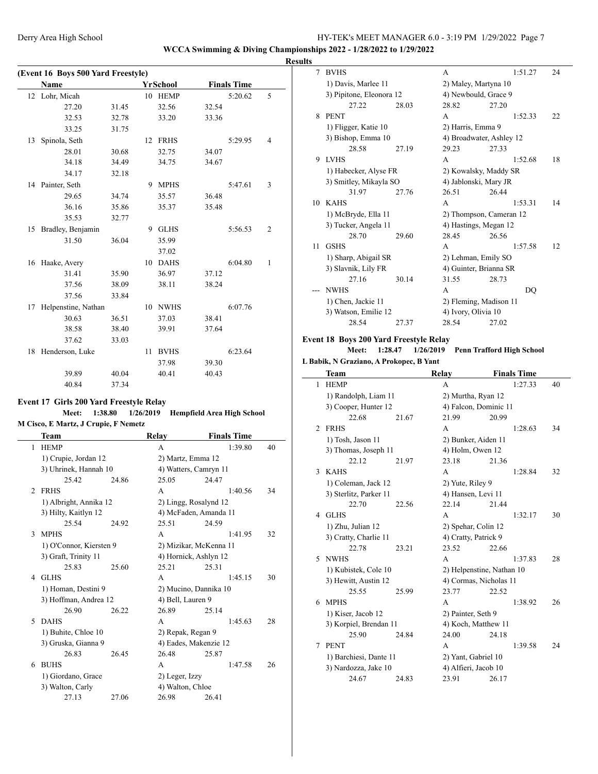#### **WCCA Swimming & Diving Championships 2022 - 1/28/2022 to 1/29/2022**

|    |                                    |       |    |             |       |                    |                | <b>Results</b> |
|----|------------------------------------|-------|----|-------------|-------|--------------------|----------------|----------------|
|    | (Event 16 Boys 500 Yard Freestyle) |       |    |             |       |                    |                |                |
|    | Name                               |       |    | YrSchool    |       | <b>Finals Time</b> |                |                |
| 12 | Lohr, Micah                        |       |    | 10 HEMP     |       | 5:20.62            | 5              |                |
|    | 27.20                              | 31.45 |    | 32.56       | 32.54 |                    |                |                |
|    | 32.53                              | 32.78 |    | 33.20       | 33.36 |                    |                |                |
|    | 33.25                              | 31.75 |    |             |       |                    |                |                |
| 13 | Spinola, Seth                      |       |    | 12 FRHS     |       | 5:29.95            | 4              |                |
|    | 28.01                              | 30.68 |    | 32.75       | 34.07 |                    |                |                |
|    | 34.18                              | 34.49 |    | 34.75       | 34.67 |                    |                |                |
|    | 34.17                              | 32.18 |    |             |       |                    |                |                |
|    | 14 Painter, Seth                   |       |    | 9 MPHS      |       | 5:47.61            | 3              |                |
|    | 29.65                              | 34.74 |    | 35.57       | 36.48 |                    |                |                |
|    | 36.16                              | 35.86 |    | 35.37       | 35.48 |                    |                | 1              |
|    | 35.53                              | 32.77 |    |             |       |                    |                |                |
| 15 | Bradley, Benjamin                  |       |    | 9 GLHS      |       | 5:56.53            | $\overline{c}$ |                |
|    | 31.50                              | 36.04 |    | 35.99       |       |                    |                |                |
|    |                                    |       |    | 37.02       |       |                    |                |                |
| 16 | Haake, Avery                       |       |    | 10 DAHS     |       | 6:04.80            | $\mathbf{1}$   |                |
|    | 31.41                              | 35.90 |    | 36.97       | 37.12 |                    |                |                |
|    | 37.56                              | 38.09 |    | 38.11       | 38.24 |                    |                |                |
|    | 37.56                              | 33.84 |    |             |       |                    |                |                |
| 17 | Helpenstine, Nathan                |       |    | 10 NWHS     |       | 6:07.76            |                |                |
|    | 30.63                              | 36.51 |    | 37.03       | 38.41 |                    |                |                |
|    | 38.58                              | 38.40 |    | 39.91       | 37.64 |                    |                |                |
|    | 37.62                              | 33.03 |    |             |       |                    |                | Eve            |
| 18 | Henderson, Luke                    |       | 11 | <b>BVHS</b> |       | 6:23.64            |                |                |
|    |                                    |       |    | 37.98       | 39.30 |                    |                | L Ba           |
|    | 39.89                              | 40.04 |    | 40.41       | 40.43 |                    |                |                |

## 40.84 37.34 **Event 17 Girls 200 Yard Freestyle Relay**

 $\overline{a}$ 

#### **Meet: 1:38.80 1/26/2019 Hempfield Area High School M Cisco, E Martz, J Crupie, F Nemetz**

|                | Team                    |       | Relay                  | <b>Finals Time</b>    |    |  |  |  |
|----------------|-------------------------|-------|------------------------|-----------------------|----|--|--|--|
| 1              | <b>HEMP</b>             |       | A                      | 1:39.80               | 40 |  |  |  |
|                | 1) Crupie, Jordan 12    |       | 2) Martz, Emma 12      |                       |    |  |  |  |
|                | 3) Uhrinek, Hannah 10   |       | 4) Watters, Camryn 11  |                       |    |  |  |  |
|                | 25.42                   | 24.86 | 25.05                  | 24.47                 |    |  |  |  |
| $\mathfrak{D}$ | <b>FRHS</b>             |       | A                      | 1:40.56               | 34 |  |  |  |
|                | 1) Albright, Annika 12  |       |                        | 2) Lingg, Rosalynd 12 |    |  |  |  |
|                | 3) Hilty, Kaitlyn 12    |       | 4) McFaden, Amanda 11  |                       |    |  |  |  |
|                | 25.54                   | 24.92 | 25.51                  | 24.59                 |    |  |  |  |
| 3              | <b>MPHS</b>             |       | A                      | 1:41.95               | 32 |  |  |  |
|                | 1) O'Connor, Kiersten 9 |       | 2) Mizikar, McKenna 11 |                       |    |  |  |  |
|                | 3) Graft, Trinity 11    |       | 4) Hornick, Ashlyn 12  |                       |    |  |  |  |
|                | 25.83                   | 25.60 | 25.21                  | 25.31                 |    |  |  |  |
| 4              | <b>GLHS</b>             |       | A                      | 1:45.15               | 30 |  |  |  |
|                | 1) Homan, Destini 9     |       | 2) Mucino, Dannika 10  |                       |    |  |  |  |
|                | 3) Hoffman, Andrea 12   |       | 4) Bell, Lauren 9      |                       |    |  |  |  |
|                | 26.90                   | 26.22 | 26.89                  | 25.14                 |    |  |  |  |
| 5              | <b>DAHS</b>             |       | A                      | 1:45.63               | 28 |  |  |  |
|                | 1) Buhite, Chloe 10     |       | 2) Repak, Regan 9      |                       |    |  |  |  |
|                | 3) Gruska, Gianna 9     |       | 4) Eades, Makenzie 12  |                       |    |  |  |  |
|                | 26.83                   | 26.45 | 26.48                  | 25.87                 |    |  |  |  |
| 6              | <b>BUHS</b>             |       | A                      | 1:47.58               | 26 |  |  |  |
|                | 1) Giordano, Grace      |       | 2) Leger, Izzy         |                       |    |  |  |  |
|                | 3) Walton, Carly        |       | 4) Walton, Chloe       |                       |    |  |  |  |
|                | 27.13                   | 27.06 | 26.98                  | 26.41                 |    |  |  |  |
|                |                         |       |                        |                       |    |  |  |  |

| 7                  | <b>BVHS</b>              |                       | A                        |       | 1:51.27 | 24 |  |
|--------------------|--------------------------|-----------------------|--------------------------|-------|---------|----|--|
|                    | 1) Davis, Marlee 11      |                       | 2) Maley, Martyna 10     |       |         |    |  |
|                    | 3) Pipitone, Eleonora 12 |                       | 4) Newbould, Grace 9     |       |         |    |  |
|                    | 27.22                    | 28.03                 | 28.82                    | 27.20 |         |    |  |
| 8                  | <b>PENT</b>              |                       | A                        |       | 1:52.33 | 22 |  |
|                    | 1) Fligger, Katie 10     |                       | 2) Harris, Emma 9        |       |         |    |  |
|                    | 3) Bishop, Emma 10       |                       | 4) Broadwater, Ashley 12 |       |         |    |  |
|                    | 28.58                    | 27.19                 | 29.23                    | 27.33 |         |    |  |
| 9                  | <b>LVHS</b>              |                       | A                        |       | 1:52.68 | 18 |  |
|                    | 1) Habecker, Alyse FR    | 2) Kowalsky, Maddy SR |                          |       |         |    |  |
|                    | 3) Smitley, Mikayla SO   |                       | 4) Jablonski, Mary JR    |       |         |    |  |
|                    | 31.97                    | 27.76                 | 26.51                    | 26.44 |         |    |  |
| 10                 | <b>KAHS</b>              |                       | A                        |       | 1:53.31 | 14 |  |
|                    | 1) McBryde, Ella 11      |                       | 2) Thompson, Cameran 12  |       |         |    |  |
|                    | 3) Tucker, Angela 11     |                       | 4) Hastings, Megan 12    |       |         |    |  |
|                    | 28.70                    | 29.60                 | 28.45                    | 26.56 |         |    |  |
| 11                 | <b>GSHS</b>              |                       | A                        |       | 1:57.58 | 12 |  |
|                    | 1) Sharp, Abigail SR     |                       | 2) Lehman, Emily SO      |       |         |    |  |
|                    | 3) Slavnik, Lily FR      |                       | 4) Guinter, Brianna SR   |       |         |    |  |
|                    | 27.16                    | 30.14                 | 31.55                    | 28.73 |         |    |  |
|                    | <b>NWHS</b>              |                       | A                        |       | DO      |    |  |
| 1) Chen, Jackie 11 |                          |                       | 2) Fleming, Madison 11   |       |         |    |  |
|                    | 3) Watson, Emilie 12     |                       | 4) Ivory, Olivia 10      |       |         |    |  |
|                    | 28.54                    | 27.37                 | 28.54                    | 27.02 |         |    |  |

#### **Event 18 Boys 200 Yard Freestyle Relay**

## **Meet: 1:28.47 1/26/2019 Penn Trafford High School**

|  |  |  |  |  | L Babik, N Graziano, A Prokopec, B Yant |  |  |  |
|--|--|--|--|--|-----------------------------------------|--|--|--|
|--|--|--|--|--|-----------------------------------------|--|--|--|

|                | Team                   |       | Relay                  |                           | <b>Finals Time</b> |    |  |  |  |
|----------------|------------------------|-------|------------------------|---------------------------|--------------------|----|--|--|--|
| 1              | <b>HEMP</b>            |       | A                      |                           | 1:27.33            | 40 |  |  |  |
|                | 1) Randolph, Liam 11   |       | 2) Murtha, Ryan 12     |                           |                    |    |  |  |  |
|                | 3) Cooper, Hunter 12   |       | 4) Falcon, Dominic 11  |                           |                    |    |  |  |  |
|                | 22.68                  | 21.67 | 21.99                  | 20.99                     |                    |    |  |  |  |
| $\overline{c}$ | <b>FRHS</b>            |       | A                      |                           | 1:28.63            | 34 |  |  |  |
|                | 1) Tosh, Jason 11      |       |                        | 2) Bunker, Aiden 11       |                    |    |  |  |  |
|                | 3) Thomas, Joseph 11   |       | 4) Holm, Owen 12       |                           |                    |    |  |  |  |
|                | 22.12                  | 21.97 | 23.18                  | 21.36                     |                    |    |  |  |  |
| 3              | <b>KAHS</b>            |       | A                      |                           | 1:28.84            | 32 |  |  |  |
|                | 1) Coleman, Jack 12    |       |                        | 2) Yute, Riley 9          |                    |    |  |  |  |
|                | 3) Sterlitz, Parker 11 |       | 4) Hansen, Levi 11     |                           |                    |    |  |  |  |
|                | 22.70                  | 22.56 | 22.14                  | 21.44                     |                    |    |  |  |  |
| 4              | <b>GLHS</b>            |       | A                      |                           | 1:32.17            | 30 |  |  |  |
|                | 1) Zhu, Julian 12      |       | 2) Spehar, Colin 12    |                           |                    |    |  |  |  |
|                | 3) Cratty, Charlie 11  |       | 4) Cratty, Patrick 9   |                           |                    |    |  |  |  |
|                | 22.78                  | 23.21 | 23.52                  | 22.66                     |                    |    |  |  |  |
| 5              | <b>NWHS</b>            |       | A                      |                           | 1:37.83            | 28 |  |  |  |
|                | 1) Kubistek, Cole 10   |       |                        | 2) Helpenstine, Nathan 10 |                    |    |  |  |  |
|                | 3) Hewitt, Austin 12   |       | 4) Cormas, Nicholas 11 |                           |                    |    |  |  |  |
|                | 25.55                  | 25.99 | 23.77                  | 22.52                     |                    |    |  |  |  |
| 6              | <b>MPHS</b>            |       | A                      |                           | 1:38.92            | 26 |  |  |  |
|                | 1) Kiser, Jacob 12     |       | 2) Painter, Seth 9     |                           |                    |    |  |  |  |
|                | 3) Korpiel, Brendan 11 |       | 4) Koch, Matthew 11    |                           |                    |    |  |  |  |
|                | 25.90                  | 24.84 | 24.00                  | 24.18                     |                    |    |  |  |  |
| 7              | <b>PENT</b>            |       | A                      |                           | 1:39.58            | 24 |  |  |  |
|                | 1) Barchiesi, Dante 11 |       | 2) Yant, Gabriel 10    |                           |                    |    |  |  |  |
|                | 3) Nardozza, Jake 10   |       | 4) Alfieri, Jacob 10   |                           |                    |    |  |  |  |
|                | 24.67                  | 24.83 | 23.91                  | 26.17                     |                    |    |  |  |  |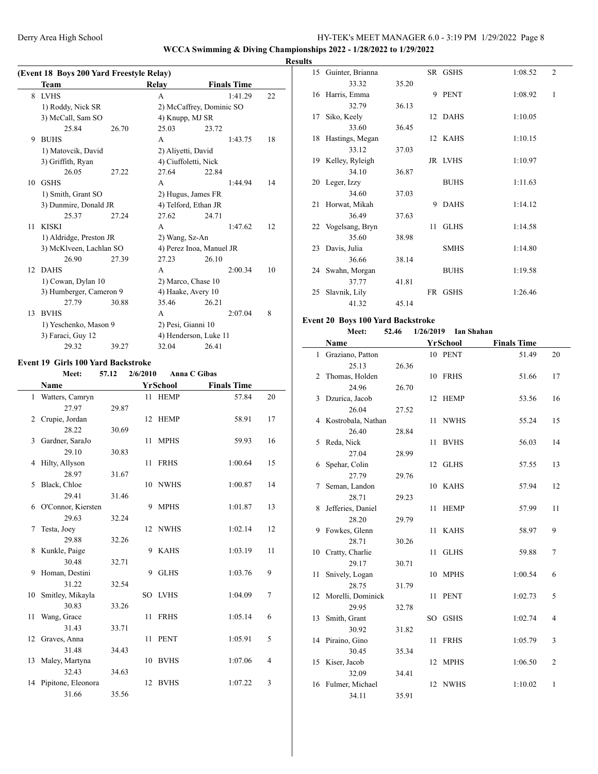**WCCA Swimming & Diving Championships 2022 - 1/28/2022 to 1/29/2022**

#### **Results**

|    | Team                    |                         | Relay                    | <b>Finals Time</b>       |  |    |
|----|-------------------------|-------------------------|--------------------------|--------------------------|--|----|
| 8  | <b>LVHS</b>             |                         | A                        | 1:41.29                  |  | 22 |
|    | 1) Roddy, Nick SR       |                         |                          | 2) McCaffrey, Dominic SO |  |    |
|    | 3) McCall, Sam SO       |                         | 4) Knupp, MJ SR          |                          |  |    |
|    | 25.84                   | 26.70                   | 25.03                    | 23.72                    |  |    |
| 9  | <b>BUHS</b>             |                         | A                        | 1:43.75                  |  | 18 |
|    | 1) Matovcik, David      |                         | 2) Aliyetti, David       |                          |  |    |
|    | 3) Griffith, Ryan       |                         | 4) Ciuffoletti, Nick     |                          |  |    |
|    | 26.05                   | 27.22                   | 27.64                    | 22.84                    |  |    |
| 10 | <b>GSHS</b>             |                         | A                        | 1:44.94                  |  | 14 |
|    | 1) Smith, Grant SO      |                         |                          | 2) Hugus, James FR       |  |    |
|    | 3) Dunmire, Donald JR   |                         |                          | 4) Telford, Ethan JR     |  |    |
|    | 25.37                   | 27.24                   | 27.62                    | 24.71                    |  |    |
| 11 | <b>KISKI</b>            |                         | A                        | 1:47.62                  |  | 12 |
|    |                         | 1) Aldridge, Preston JR |                          | 2) Wang, Sz-An           |  |    |
|    | 3) McKlveen, Lachlan SO |                         | 4) Perez Inoa, Manuel JR |                          |  |    |
|    | 26.90                   | 27.39                   | 27.23                    | 26.10                    |  |    |
|    | 12 DAHS                 |                         | A                        | 2:00.34                  |  | 10 |
|    | 1) Cowan, Dylan 10      |                         |                          | 2) Marco, Chase 10       |  |    |
|    | 3) Humberger, Cameron 9 |                         |                          | 4) Haake, Avery 10       |  |    |
|    | 27.79                   | 30.88                   | 35.46                    | 26.21                    |  |    |
| 13 | <b>BVHS</b>             |                         | A                        | 2:07.04                  |  | 8  |
|    | 1) Yeschenko, Mason 9   |                         | 2) Pesi, Gianni 10       |                          |  |    |
|    | 3) Faraci, Guy 12       |                         |                          | 4) Henderson, Luke 11    |  |    |
|    | 29.32                   | 39.27                   | 32.04                    | 26.41                    |  |    |

#### **Event 19 Girls 100 Yard Backstroke**

 $\overline{\phantom{a}}$ 

|    | Meet:                 | 57.12 | 2/6/2010 | <b>Anna C Gibas</b> |                    |                |
|----|-----------------------|-------|----------|---------------------|--------------------|----------------|
|    | Name                  |       |          | <b>YrSchool</b>     | <b>Finals Time</b> |                |
|    | 1 Watters, Camryn     |       |          | 11 HEMP             | 57.84              | 20             |
|    | 27.97                 | 29.87 |          |                     |                    |                |
| 2  | Crupie, Jordan        |       |          | 12 HEMP             | 58.91              | 17             |
|    | 28.22                 | 30.69 |          |                     |                    |                |
| 3  | Gardner, SaraJo       |       | 11       | <b>MPHS</b>         | 59.93              | 16             |
|    | 29.10                 | 30.83 |          |                     |                    |                |
| 4  | Hilty, Allyson        |       | 11       | <b>FRHS</b>         | 1:00.64            | 15             |
|    | 28.97                 | 31.67 |          |                     |                    |                |
| 5  | Black, Chloe          |       |          | 10 NWHS             | 1:00.87            | 14             |
|    | 29.41                 | 31.46 |          |                     |                    |                |
| 6  | O'Connor, Kiersten    |       | 9        | <b>MPHS</b>         | 1:01.87            | 13             |
|    | 29.63                 | 32.24 |          |                     |                    |                |
| 7  | Testa, Joey           |       |          | 12 NWHS             | 1:02.14            | 12             |
|    | 29.88                 | 32.26 |          |                     |                    |                |
| 8  | Kunkle, Paige         |       | 9        | KAHS                | 1:03.19            | 11             |
|    | 30.48                 | 32.71 |          |                     |                    |                |
| 9  | Homan, Destini        |       | 9        | <b>GLHS</b>         | 1:03.76            | 9              |
|    | 31.22                 | 32.54 |          |                     |                    |                |
| 10 | Smitley, Mikayla      |       |          | SO LVHS             | 1:04.09            | 7              |
|    | 30.83                 | 33.26 |          |                     |                    |                |
| 11 | Wang, Grace           |       | 11       | <b>FRHS</b>         | 1:05.14            | 6              |
|    | 31.43                 | 33.71 |          |                     |                    |                |
| 12 | Graves, Anna          |       | 11       | <b>PENT</b>         | 1:05.91            | 5              |
|    | 31.48                 | 34.43 |          |                     |                    |                |
| 13 | Maley, Martyna        |       | 10       | <b>BVHS</b>         | 1:07.06            | $\overline{4}$ |
|    | 32.43                 | 34.63 |          |                     |                    |                |
|    | 14 Pipitone, Eleonora |       | 12       | <b>BVHS</b>         | 1:07.22            | 3              |
|    | 31.66                 | 35.56 |          |                     |                    |                |

| w  |                     |       |    |             |         |                |
|----|---------------------|-------|----|-------------|---------|----------------|
|    | 15 Guinter, Brianna |       |    | SR GSHS     | 1:08.52 | $\overline{2}$ |
|    | 33.32               | 35.20 |    |             |         |                |
|    | 16 Harris, Emma     |       |    | 9 PENT      | 1:08.92 | 1              |
|    | 32.79               | 36.13 |    |             |         |                |
| 17 | Siko, Keely         |       |    | 12 DAHS     | 1:10.05 |                |
|    | 33.60               | 36.45 |    |             |         |                |
|    | 18 Hastings, Megan  |       |    | 12 KAHS     | 1:10.15 |                |
|    | 33.12               | 37.03 |    |             |         |                |
|    | 19 Kelley, Ryleigh  |       |    | JR LVHS     | 1:10.97 |                |
|    | 34.10               | 36.87 |    |             |         |                |
|    | 20 Leger, Izzy      |       |    | <b>BUHS</b> | 1:11.63 |                |
|    | 34.60               | 37.03 |    |             |         |                |
| 21 | Horwat, Mikah       |       | 9  | <b>DAHS</b> | 1:14.12 |                |
|    | 36.49               | 37.63 |    |             |         |                |
|    | 22 Vogelsang, Bryn  |       | 11 | <b>GLHS</b> | 1:14.58 |                |
|    | 35.60               | 38.98 |    |             |         |                |
|    | 23 Davis, Julia     |       |    | <b>SMHS</b> | 1:14.80 |                |
|    | 36.66               | 38.14 |    |             |         |                |
| 24 | Swahn, Morgan       |       |    | <b>BUHS</b> | 1:19.58 |                |
|    | 37.77               | 41.81 |    |             |         |                |
| 25 | Slavnik, Lily       |       | FR | <b>GSHS</b> | 1:26.46 |                |
|    | 41.32               | 45.14 |    |             |         |                |

#### **Event 20 Boys 100 Yard Backstroke**

34.11 35.91

| ent 20 Boys 100 Yard Backstroke |       |           |             |                    |                |
|---------------------------------|-------|-----------|-------------|--------------------|----------------|
| Meet:                           | 52.46 | 1/26/2019 | Ian Shahan  |                    |                |
| Name                            |       |           | YrSchool    | <b>Finals Time</b> |                |
| 1 Graziano, Patton              |       |           | 10 PENT     | 51.49              | 20             |
| 25.13                           | 26.36 |           |             |                    |                |
| 2 Thomas, Holden                |       |           | 10 FRHS     | 51.66              | 17             |
| 24.96                           | 26.70 |           |             |                    |                |
| 3 Dzurica, Jacob                |       |           | 12 HEMP     | 53.56              | 16             |
| 26.04                           | 27.52 |           |             |                    |                |
| 4 Kostrobala, Nathan            |       |           | 11 NWHS     | 55.24              | 15             |
| 26.40                           | 28.84 |           |             |                    |                |
| 5 Reda, Nick                    |       | 11        | <b>BVHS</b> | 56.03              | 14             |
| 27.04                           | 28.99 |           |             |                    |                |
| 6 Spehar, Colin                 |       |           | 12 GLHS     | 57.55              | 13             |
| 27.79                           | 29.76 |           |             |                    |                |
| 7 Seman, Landon                 |       |           | 10 KAHS     | 57.94              | 12             |
| 28.71                           | 29.23 |           |             |                    |                |
| 8 Jefferies, Daniel             |       | 11        | <b>HEMP</b> | 57.99              | 11             |
| 28.20                           | 29.79 |           |             |                    |                |
| 9 Fowkes, Glenn                 |       | 11        | <b>KAHS</b> | 58.97              | 9              |
| 28.71                           | 30.26 |           |             |                    |                |
| 10 Cratty, Charlie              |       | 11        | <b>GLHS</b> | 59.88              | 7              |
| 29.17                           | 30.71 |           |             |                    |                |
| 11 Snively, Logan               |       |           | 10 MPHS     | 1:00.54            | 6              |
| 28.75                           | 31.79 |           |             |                    |                |
| 12 Morelli, Dominick            |       | 11        | PENT        | 1:02.73            | 5              |
| 29.95                           | 32.78 |           |             |                    |                |
| 13 Smith, Grant                 |       |           | SO GSHS     | 1:02.74            | 4              |
| 30.92                           | 31.82 |           |             |                    |                |
| 14 Piraino, Gino                |       | 11        | <b>FRHS</b> | 1:05.79            | 3              |
| 30.45                           | 35.34 |           |             |                    |                |
| 15 Kiser, Jacob                 |       | 12        | <b>MPHS</b> | 1:06.50            | $\overline{2}$ |
| 32.09                           | 34.41 |           |             |                    |                |
| 16 Fulmer, Michael              |       | 12        | NWHS        | 1:10.02            | 1              |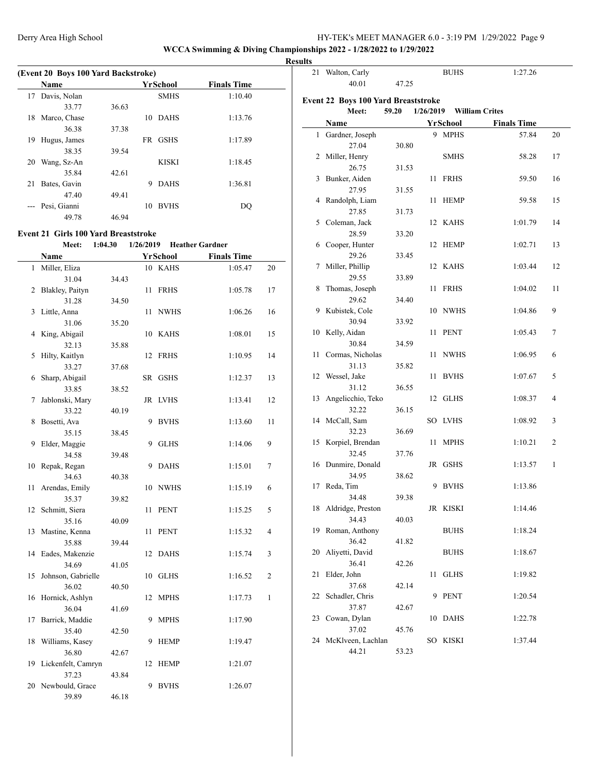#### **WCCA Swimming & Diving Championships 2022 - 1/28/2022 to 1/29/2022**

 $\frac{1}{2}$ 

**Results**

| (Event 20 Boys 100 Yard Backstroke) |              |       |                    |                    |  |  |  |  |  |
|-------------------------------------|--------------|-------|--------------------|--------------------|--|--|--|--|--|
|                                     | <b>Name</b>  |       | YrSchool           | <b>Finals Time</b> |  |  |  |  |  |
| 17                                  | Davis, Nolan |       | <b>SMHS</b>        | 1:10.40            |  |  |  |  |  |
|                                     | 33.77        | 36.63 |                    |                    |  |  |  |  |  |
| 18                                  | Marco, Chase |       | <b>DAHS</b><br>10  | 1:13.76            |  |  |  |  |  |
|                                     | 36.38        | 37.38 |                    |                    |  |  |  |  |  |
| 19                                  | Hugus, James |       | <b>GSHS</b><br>FR. | 1:17.89            |  |  |  |  |  |
|                                     | 38.35        | 39.54 |                    |                    |  |  |  |  |  |
| 20                                  | Wang, Sz-An  |       | <b>KISKI</b>       | 1:18.45            |  |  |  |  |  |
|                                     | 35.84        | 42.61 |                    |                    |  |  |  |  |  |
| 21                                  | Bates, Gavin |       | <b>DAHS</b><br>9   | 1:36.81            |  |  |  |  |  |
|                                     | 47.40        | 49.41 |                    |                    |  |  |  |  |  |
|                                     | Pesi, Gianni |       | <b>BVHS</b><br>10  | DO                 |  |  |  |  |  |
|                                     | 49.78        | 46.94 |                    |                    |  |  |  |  |  |

#### **Event 21 Girls 100 Yard Breaststroke**

 $\overline{a}$ 

#### **Meet: 1:04.30 1/26/2019 Heather Gardner**

|    | Name                        |       |     | YrSchool    | <b>Finals Time</b> |                |
|----|-----------------------------|-------|-----|-------------|--------------------|----------------|
| 1  | Miller, Eliza               |       |     | 10 KAHS     | 1:05.47            | 20             |
|    | 31.04                       | 34.43 |     |             |                    |                |
| 2  | Blakley, Paityn             |       | 11  | <b>FRHS</b> | 1:05.78            | 17             |
|    | 31.28                       | 34.50 |     |             |                    |                |
| 3  | Little, Anna                |       | 11  | <b>NWHS</b> | 1:06.26            | 16             |
|    | 31.06                       | 35.20 |     |             |                    |                |
| 4  | King, Abigail               |       | 10  | KAHS        | 1:08.01            | 15             |
|    | 32.13                       | 35.88 |     |             |                    |                |
| 5  | Hilty, Kaitlyn              |       | 12  | <b>FRHS</b> | 1:10.95            | 14             |
|    | 33.27                       | 37.68 |     |             |                    |                |
| 6  | Sharp, Abigail              |       | SR. | <b>GSHS</b> | 1:12.37            | 13             |
|    | 33.85                       | 38.52 |     |             |                    |                |
| 7  | Jablonski, Mary             |       |     | JR LVHS     | 1:13.41            | 12             |
|    | 33.22                       | 40.19 |     |             |                    |                |
| 8  | Bosetti, Ava                |       | 9   | <b>BVHS</b> | 1:13.60            | 11             |
|    | 35.15                       | 38.45 |     |             |                    |                |
| 9  | Elder, Maggie               |       | 9   | <b>GLHS</b> | 1:14.06            | 9              |
|    | 34.58                       | 39.48 |     |             |                    |                |
| 10 | Repak, Regan                |       | 9   | <b>DAHS</b> | 1:15.01            | 7              |
|    | 34.63                       | 40.38 |     |             |                    |                |
| 11 | Arendas, Emily              |       | 10  | <b>NWHS</b> | 1:15.19            | 6              |
|    | 35.37                       | 39.82 |     |             |                    |                |
| 12 | Schmitt, Siera              |       | 11  | <b>PENT</b> | 1:15.25            | 5              |
|    | 35.16                       | 40.09 |     |             |                    |                |
| 13 | Mastine, Kenna              |       | 11  | <b>PENT</b> | 1:15.32            | $\overline{4}$ |
|    | 35.88                       | 39.44 |     |             |                    |                |
| 14 | Eades, Makenzie             |       | 12  | <b>DAHS</b> | 1:15.74            | 3              |
|    | 34.69                       | 41.05 |     |             |                    |                |
| 15 | Johnson, Gabrielle          |       | 10  | <b>GLHS</b> | 1:16.52            | $\overline{c}$ |
|    | 36.02                       | 40.50 |     |             |                    |                |
| 16 | Hornick, Ashlyn             |       | 12  | <b>MPHS</b> | 1:17.73            | 1              |
|    | 36.04                       | 41.69 |     |             |                    |                |
| 17 | Barrick, Maddie             |       | 9   | <b>MPHS</b> | 1:17.90            |                |
|    | 35.40                       | 42.50 |     |             |                    |                |
| 18 | Williams, Kasey             |       | 9   | <b>HEMP</b> | 1:19.47            |                |
|    | 36.80                       | 42.67 |     |             |                    |                |
| 19 | Lickenfelt, Camryn<br>37.23 |       | 12  | <b>HEMP</b> | 1:21.07            |                |
|    | 20 Newbould, Grace          | 43.84 | 9   | <b>BVHS</b> | 1:26.07            |                |
|    | 39.89                       | 46.18 |     |             |                    |                |
|    |                             |       |     |             |                    |                |

| 21 | Walton, Carly                                |       |           | <b>BUHS</b> | 1:27.26               |    |
|----|----------------------------------------------|-------|-----------|-------------|-----------------------|----|
|    | 40.01                                        | 47.25 |           |             |                       |    |
|    |                                              |       |           |             |                       |    |
|    | Event 22 Boys 100 Yard Breaststroke<br>Meet: | 59.20 | 1/26/2019 |             | <b>William Crites</b> |    |
|    | Name                                         |       |           | YrSchool    | <b>Finals Time</b>    |    |
| 1  | Gardner, Joseph                              |       |           | 9 MPHS      | 57.84                 | 20 |
|    | 27.04                                        | 30.80 |           |             |                       |    |
|    | 2 Miller, Henry                              |       |           | <b>SMHS</b> | 58.28                 | 17 |
|    | 26.75                                        | 31.53 |           |             |                       |    |
| 3  | Bunker, Aiden                                |       | 11        | <b>FRHS</b> | 59.50                 | 16 |
|    | 27.95                                        | 31.55 |           |             |                       |    |
| 4  | Randolph, Liam                               |       | 11        | <b>HEMP</b> | 59.58                 | 15 |
|    | 27.85                                        | 31.73 |           |             |                       |    |
| 5  | Coleman, Jack                                |       | 12        | KAHS        | 1:01.79               | 14 |
|    | 28.59                                        | 33.20 |           |             |                       |    |
| 6  | Cooper, Hunter                               |       | 12        | HEMP        | 1:02.71               | 13 |
|    | 29.26                                        | 33.45 |           |             |                       |    |
| 7  | Miller, Phillip                              |       | 12        | KAHS        | 1:03.44               | 12 |
|    | 29.55                                        | 33.89 |           |             |                       |    |
| 8  | Thomas, Joseph                               |       | 11        | <b>FRHS</b> | 1:04.02               | 11 |
|    | 29.62                                        | 34.40 |           |             |                       |    |
| 9  | Kubistek, Cole                               |       |           | 10 NWHS     | 1:04.86               | 9  |
|    | 30.94                                        | 33.92 |           |             |                       |    |
|    | 10 Kelly, Aidan                              |       | 11        | <b>PENT</b> | 1:05.43               | 7  |
|    | 30.84                                        | 34.59 |           |             |                       |    |
| 11 | Cormas, Nicholas                             |       | 11        | <b>NWHS</b> | 1:06.95               | 6  |
|    | 31.13                                        | 35.82 |           |             |                       |    |
| 12 | Wessel, Jake                                 |       | 11        | <b>BVHS</b> | 1:07.67               | 5  |
| 13 | 31.12                                        | 36.55 | 12        | <b>GLHS</b> | 1:08.37               | 4  |
|    | Angelicchio, Teko<br>32.22                   | 36.15 |           |             |                       |    |
| 14 | McCall, Sam                                  |       |           | SO LVHS     | 1:08.92               | 3  |
|    | 32.23                                        | 36.69 |           |             |                       |    |
| 15 | Korpiel, Brendan                             |       | 11        | <b>MPHS</b> | 1:10.21               | 2  |
|    | 32.45                                        | 37.76 |           |             |                       |    |
| 16 | Dunmire, Donald                              |       | JR        | <b>GSHS</b> | 1:13.57               | 1  |
|    | 34.95                                        | 38.62 |           |             |                       |    |
| 17 | Reda, Tim                                    |       | 9         | <b>BVHS</b> | 1:13.86               |    |
|    | 34.48                                        | 39.38 |           |             |                       |    |
| 18 | Aldridge, Preston                            |       |           | JR KISKI    | 1:14.46               |    |
|    | 34.43                                        | 40.03 |           |             |                       |    |
| 19 | Roman, Anthony                               |       |           | <b>BUHS</b> | 1:18.24               |    |
|    | 36.42                                        | 41.82 |           |             |                       |    |
| 20 | Aliyetti, David                              |       |           | <b>BUHS</b> | 1:18.67               |    |
|    | 36.41                                        | 42.26 |           |             |                       |    |
| 21 | Elder, John                                  |       | 11        | GLHS        | 1:19.82               |    |
|    | 37.68                                        | 42.14 |           |             |                       |    |
| 22 | Schadler, Chris                              |       | 9         | <b>PENT</b> | 1:20.54               |    |
|    | 37.87                                        | 42.67 |           |             |                       |    |
| 23 | Cowan, Dylan<br>37.02                        | 45.76 | 10        | <b>DAHS</b> | 1:22.78               |    |
| 24 | McKlveen, Lachlan                            |       |           | SO KISKI    | 1:37.44               |    |
|    | 44.21                                        | 53.23 |           |             |                       |    |
|    |                                              |       |           |             |                       |    |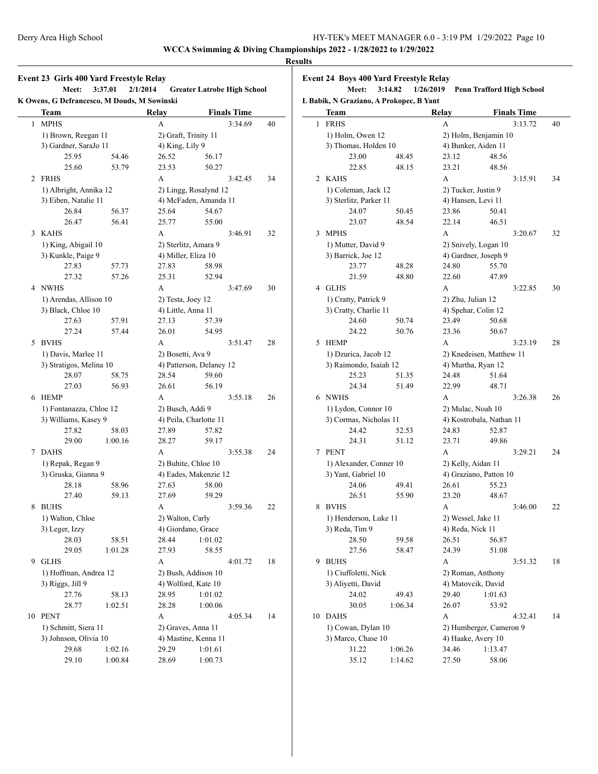1 MPHS

2 FRHS

3 KAHS

4 NWHS

5 BVHS

6 HEMP

7 DAHS

8 BUHS

9 GLHS

10 PENT

**WCCA Swimming & Diving Championships 2022 - 1/28/2022 to 1/29/2022 Results**

## **Event 23 Girls 400 Yard Freestyle Relay Meet: 3:37.01 2/1/2014 Greater Latrobe High School K Owens, G Defrancesco, M Douds, M Sowinski Team Relay Finals Time** 1) Brown, Reegan 11 3) Gardner, SaraJo 11 25.95 54.46 26.52 56.17 25.60 53.79 23.53 50.27 1) Albright, Annika 12 3) Eiben, Natalie 11 26.84 56.37 25.64 54.67 26.47 56.41 25.77 55.00 1) King, Abigail 10 3) Kunkle, Paige 9 27.83 57.73 27.83 58.98 27.32 57.26 25.31 52.94 1) Arendas, Allison 10 3) Black, Chloe 10 27.63 57.91 27.13 57.39 27.24 57.44 1) Davis, Marlee 11

| <b>Team</b>             |         | Relay                |                                            | <b>Finals Time</b> |    |              | <b>Team</b> |
|-------------------------|---------|----------------------|--------------------------------------------|--------------------|----|--------------|-------------|
| <b>MPHS</b>             |         | A                    |                                            | 3:34.69            | 40 | $\mathbf{1}$ | <b>FRHS</b> |
| 1) Brown, Reegan 11     |         | 2) Graft, Trinity 11 |                                            |                    |    |              | 1) Hol      |
| 3) Gardner, SaraJo 11   |         | 4) King, Lily 9      |                                            |                    |    |              | 3) Tho      |
| 25.95                   | 54.46   | 26.52                | 56.17                                      |                    |    |              |             |
| 25.60                   | 53.79   | 23.53                | 50.27                                      |                    |    |              |             |
| <b>FRHS</b>             |         | A                    |                                            | 3:42.45            | 34 |              | 2 KAHS      |
| 1) Albright, Annika 12  |         |                      | 2) Lingg, Rosalynd 12                      |                    |    |              | $1)$ Col    |
| 3) Eiben, Natalie 11    |         |                      | 4) McFaden, Amanda 11                      |                    |    |              | 3) Ster     |
| 26.84                   | 56.37   | 25.64                | 54.67                                      |                    |    |              |             |
| 26.47                   | 56.41   | 25.77                | 55.00                                      |                    |    |              |             |
| <b>KAHS</b>             |         | A                    |                                            | 3:46.91            | 32 | 3            | <b>MPHS</b> |
| 1) King, Abigail 10     |         | 2) Sterlitz, Amara 9 |                                            |                    |    |              | $1)$ Mu     |
| 3) Kunkle, Paige 9      |         | 4) Miller, Eliza 10  |                                            |                    |    |              | 3) Bari     |
| 27.83                   | 57.73   | 27.83                | 58.98                                      |                    |    |              |             |
| 27.32                   | 57.26   | 25.31                | 52.94                                      |                    |    |              |             |
| <b>NWHS</b>             |         | A                    |                                            | 3:47.69            | 30 |              | 4 GLHS      |
| 1) Arendas, Allison 10  |         | 2) Testa, Joey 12    |                                            |                    |    |              | 1) Cra      |
| 3) Black, Chloe 10      |         | 4) Little, Anna 11   |                                            |                    |    |              | 3) Crat     |
| 27.63                   | 57.91   | 27.13                | 57.39                                      |                    |    |              |             |
| 27.24                   | 57.44   | 26.01                | 54.95                                      |                    |    |              |             |
| <b>BVHS</b>             |         | A                    |                                            | 3:51.47            | 28 | 5            | HEMP        |
| 1) Davis, Marlee 11     |         | 2) Bosetti, Ava 9    |                                            |                    |    |              | 1) Dzu      |
| 3) Stratigos, Melina 10 |         |                      | 4) Patterson, Delaney 12                   |                    |    |              | 3) Rai      |
| 28.07                   | 58.75   | 28.54                | 59.60                                      |                    |    |              |             |
| 27.03                   | 56.93   | 26.61                | 56.19                                      |                    |    |              |             |
| <b>HEMP</b>             |         | A                    |                                            | 3:55.18            | 26 |              | 6 NWHS      |
| 1) Fontanazza, Chloe 12 |         | 2) Busch, Addi 9     |                                            |                    |    |              | $1)$ Lyd    |
| 3) Williams, Kasey 9    |         |                      | 4) Peila, Charlotte 11                     |                    |    |              | 3) Cor      |
| 27.82                   | 58.03   | 27.89                | 57.82                                      |                    |    |              |             |
| 29.00                   | 1:00.16 | 28.27                | 59.17                                      |                    |    |              |             |
| <b>DAHS</b>             |         | A                    |                                            | 3:55.38            | 24 | 7            | PENT        |
| 1) Repak, Regan 9       |         | 2) Buhite, Chloe 10  |                                            |                    |    |              | $1)$ Ale:   |
| 3) Gruska, Gianna 9     |         |                      | 4) Eades, Makenzie 12                      |                    |    |              | 3) Yan      |
| 28.18                   | 58.96   | 27.63                | 58.00                                      |                    |    |              |             |
| 27.40                   | 59.13   | 27.69                | 59.29                                      |                    |    |              |             |
| <b>BUHS</b>             |         | A                    |                                            | 3:59.36            | 22 | 8            | <b>BVHS</b> |
| 1) Walton, Chloe        |         | 2) Walton, Carly     |                                            |                    |    |              | 1) Her      |
| 3) Leger, Izzy          |         |                      | 4) Giordano, Grace                         |                    |    |              | 3) Red      |
| 28.03                   | 58.51   | 28.44                | 1:01.02                                    |                    |    |              |             |
| 29.05                   | 1:01.28 | 27.93                | 58.55                                      |                    |    |              |             |
| <b>GLHS</b>             |         | A                    |                                            | 4:01.72            | 18 | 9            | <b>BUHS</b> |
| 1) Hoffman, Andrea 12   |         |                      | 2) Bush, Addison 10                        |                    |    |              | $1)$ Ciu    |
| 3) Riggs, Jill 9        |         |                      | 4) Wolford, Kate 10                        |                    |    |              | 3) Aliy     |
| 27.76                   | 58.13   | 28.95                | 1:01.02                                    |                    |    |              |             |
| 28.77                   | 1:02.51 | 28.28                | 1:00.06                                    |                    |    |              |             |
| <b>PENT</b>             |         | A                    |                                            | 4:05.34            | 14 | 10           | DAHS        |
| 1) Schmitt, Siera 11    |         |                      |                                            |                    |    |              | $1)$ Cov    |
| 3) Johnson, Olivia 10   |         |                      | 2) Graves, Anna 11<br>4) Mastine, Kenna 11 |                    |    |              | 3) Mar      |
| 29.68<br>1:02.16        |         | 29.29                | 1:01.61                                    |                    |    |              |             |
| 29.10                   | 1:00.84 | 28.69                | 1:00.73                                    |                    |    |              |             |
|                         |         |                      |                                            |                    |    |              |             |

|    | Meet:                                                  | 3:14.82        | 1/26/2019                | <b>Penn Trafford High School</b>        |    |  |  |  |
|----|--------------------------------------------------------|----------------|--------------------------|-----------------------------------------|----|--|--|--|
|    | L Babik, N Graziano, A Prokopec, B Yant<br><b>Team</b> |                | Relay                    | <b>Finals Time</b>                      |    |  |  |  |
| 1  | <b>FRHS</b>                                            |                | A                        | 3:13.72                                 | 40 |  |  |  |
|    | 1) Holm, Owen 12                                       |                |                          | 2) Holm, Benjamin 10                    |    |  |  |  |
|    | 3) Thomas, Holden 10                                   |                |                          | 4) Bunker, Aiden 11                     |    |  |  |  |
|    | 23.00                                                  | 48.45          | 23.12                    | 48.56                                   |    |  |  |  |
|    | 22.85                                                  | 48.15          | 23.21                    | 48.56                                   |    |  |  |  |
| 2  | KAHS                                                   |                | A                        | 3:15.91                                 | 34 |  |  |  |
|    | 1) Coleman, Jack 12                                    |                |                          | 2) Tucker, Justin 9                     |    |  |  |  |
|    | 3) Sterlitz, Parker 11                                 |                |                          | 4) Hansen, Levi 11                      |    |  |  |  |
|    | 24.07                                                  | 50.45          | 23.86                    | 50.41                                   |    |  |  |  |
|    | 23.07                                                  | 48.54          | 22.14                    | 46.51                                   |    |  |  |  |
| 3  | <b>MPHS</b>                                            |                | A                        | 3:20.67                                 | 32 |  |  |  |
|    |                                                        |                |                          |                                         |    |  |  |  |
|    | 1) Mutter, David 9                                     |                |                          | 2) Snively, Logan 10                    |    |  |  |  |
|    | 3) Barrick, Joe 12<br>23.77                            | 48.28          | 24.80                    | 4) Gardner, Joseph 9<br>55.70           |    |  |  |  |
|    |                                                        |                |                          |                                         |    |  |  |  |
|    | 21.59                                                  | 48.80          | 22.60                    | 47.89                                   |    |  |  |  |
|    | 4 GLHS                                                 |                | A                        | 3:22.85                                 | 30 |  |  |  |
|    | 1) Cratty, Patrick 9                                   |                |                          | 2) Zhu, Julian 12                       |    |  |  |  |
|    | 3) Cratty, Charlie 11                                  |                |                          | 4) Spehar, Colin 12                     |    |  |  |  |
|    | 24.60                                                  | 50.74          | 23.49                    | 50.68                                   |    |  |  |  |
|    | 24.22                                                  | 50.76          | 23.36                    | 50.67                                   |    |  |  |  |
| 5  | <b>HEMP</b>                                            |                | A                        | 3:23.19                                 | 28 |  |  |  |
|    | 1) Dzurica, Jacob 12                                   |                | 2) Knedeisen, Matthew 11 |                                         |    |  |  |  |
|    | 3) Raimondo, Isaiah 12                                 |                |                          | 4) Murtha, Ryan 12                      |    |  |  |  |
|    | 25.23                                                  | 51.35          | 24.48                    | 51.64                                   |    |  |  |  |
|    | 24.34                                                  | 51.49          | 22.99                    | 48.71                                   |    |  |  |  |
| 6  | NWHS                                                   |                | A                        | 3:26.38                                 | 26 |  |  |  |
|    | 1) Lydon, Connor 10                                    |                |                          | 2) Mulac, Noah 10                       |    |  |  |  |
|    | 3) Cormas, Nicholas 11                                 |                | 4) Kostrobala, Nathan 11 |                                         |    |  |  |  |
|    | 24.42                                                  | 52.53          | 24.83                    | 52.87                                   |    |  |  |  |
|    | 24.31                                                  | 51.12          | 23.71                    | 49.86                                   |    |  |  |  |
|    | 7 PENT                                                 |                | A                        | 3:29.21                                 | 24 |  |  |  |
|    | 1) Alexander, Conner 10                                |                | 2) Kelly, Aidan 11       |                                         |    |  |  |  |
|    | 3) Yant, Gabriel 10                                    |                |                          | 4) Graziano, Patton 10                  |    |  |  |  |
|    | 24.06                                                  | 49.41          | 26.61                    | 55.23                                   |    |  |  |  |
|    | 26.51                                                  | 55.90          | 23.20                    | 48.67                                   |    |  |  |  |
| 8  | <b>BVHS</b>                                            |                | A                        | 3:46.00                                 | 22 |  |  |  |
|    | 1) Henderson, Luke 11                                  |                |                          |                                         |    |  |  |  |
|    | 3) Reda, Tim 9                                         |                |                          | 2) Wessel, Jake 11<br>4) Reda, Nick 11  |    |  |  |  |
|    | 28.50                                                  |                | 26.51                    |                                         |    |  |  |  |
|    | 27.56                                                  | 59.58<br>58.47 | 24.39                    | 56.87                                   |    |  |  |  |
|    |                                                        |                |                          | 51.08                                   |    |  |  |  |
| 9  | <b>BUHS</b>                                            |                | A                        | 3:51.32                                 | 18 |  |  |  |
|    | 1) Ciuffoletti, Nick                                   |                |                          | 2) Roman, Anthony<br>4) Matovcik, David |    |  |  |  |
|    | 3) Aliyetti, David                                     |                |                          |                                         |    |  |  |  |
|    | 24.02                                                  | 49.43          | 29.40                    | 1:01.63                                 |    |  |  |  |
|    | 30.05                                                  | 1:06.34        | 26.07                    | 53.92                                   |    |  |  |  |
| 10 | DAHS                                                   |                | А                        | 4:32.41                                 | 14 |  |  |  |
|    | 1) Cowan, Dylan 10                                     |                |                          | 2) Humberger, Cameron 9                 |    |  |  |  |
|    | 3) Marco, Chase 10                                     |                |                          | 4) Haake, Avery 10                      |    |  |  |  |
|    | 31.22                                                  | 1:06.26        | 34.46                    | 1:13.47                                 |    |  |  |  |
|    | 35.12                                                  | 1:14.62        | 27.50                    | 58.06                                   |    |  |  |  |